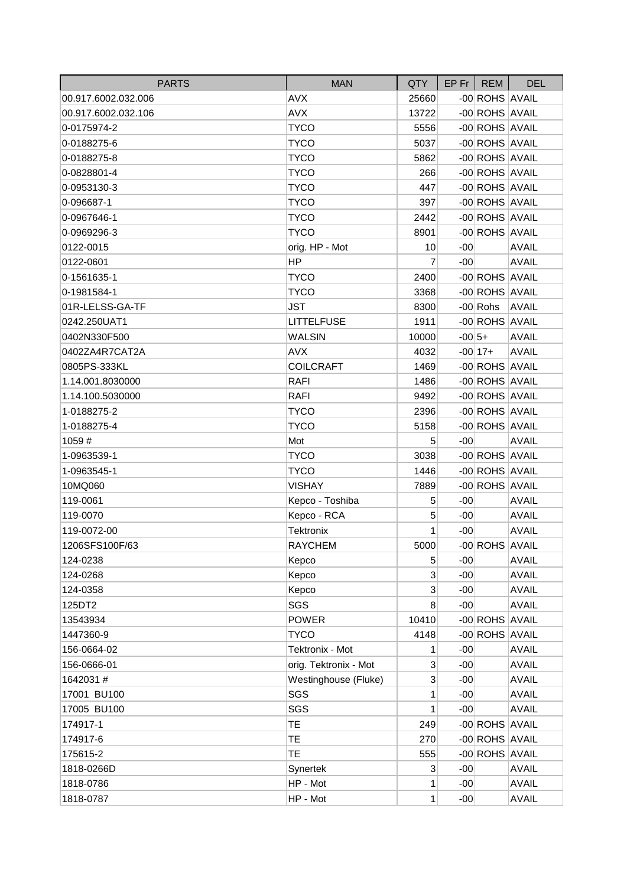| <b>PARTS</b>        | <b>MAN</b>            | <b>QTY</b>                | $EP$ Fr  | <b>REM</b>     | <b>DEL</b>   |
|---------------------|-----------------------|---------------------------|----------|----------------|--------------|
| 00.917.6002.032.006 | <b>AVX</b>            | 25660                     |          | -00 ROHS AVAIL |              |
| 00.917.6002.032.106 | <b>AVX</b>            | 13722                     |          | -00 ROHS AVAIL |              |
| 0-0175974-2         | <b>TYCO</b>           | 5556                      |          | -00 ROHS AVAIL |              |
| 0-0188275-6         | <b>TYCO</b>           | 5037                      |          | -00 ROHS AVAIL |              |
| 0-0188275-8         | <b>TYCO</b>           | 5862                      |          | -00 ROHS AVAIL |              |
| 0-0828801-4         | <b>TYCO</b>           | 266                       |          | -00 ROHS AVAIL |              |
| 0-0953130-3         | <b>TYCO</b>           | 447                       |          | -00 ROHS AVAIL |              |
| 0-096687-1          | <b>TYCO</b>           | 397                       |          | -00 ROHS AVAIL |              |
| 0-0967646-1         | <b>TYCO</b>           | 2442                      |          | -00 ROHS AVAIL |              |
| 0-0969296-3         | <b>TYCO</b>           | 8901                      |          | -00 ROHS AVAIL |              |
| 0122-0015           | orig. HP - Mot        | 10                        | $-00$    |                | <b>AVAIL</b> |
| 0122-0601           | <b>HP</b>             | 7                         | $-00$    |                | <b>AVAIL</b> |
| 0-1561635-1         | <b>TYCO</b>           | 2400                      |          | -00 ROHS AVAIL |              |
| 0-1981584-1         | <b>TYCO</b>           | 3368                      |          | -00 ROHS AVAIL |              |
| 01R-LELSS-GA-TF     | <b>JST</b>            | 8300                      |          | $-00$ Rohs     | <b>AVAIL</b> |
| 0242.250UAT1        | <b>LITTELFUSE</b>     | 1911                      |          | -00 ROHS AVAIL |              |
| 0402N330F500        | <b>WALSIN</b>         | 10000                     | $-00 5+$ |                | <b>AVAIL</b> |
| 0402ZA4R7CAT2A      | <b>AVX</b>            | 4032                      |          | $-00 17+$      | <b>AVAIL</b> |
| 0805PS-333KL        | <b>COILCRAFT</b>      | 1469                      |          | -00 ROHS AVAIL |              |
| 1.14.001.8030000    | <b>RAFI</b>           | 1486                      |          | -00 ROHS AVAIL |              |
| 1.14.100.5030000    | <b>RAFI</b>           | 9492                      |          | -00 ROHS AVAIL |              |
| 1-0188275-2         | <b>TYCO</b>           | 2396                      |          | -00 ROHS AVAIL |              |
| 1-0188275-4         | <b>TYCO</b>           | 5158                      |          | -00 ROHS AVAIL |              |
| 1059#               | Mot                   | 5                         | $-00$    |                | <b>AVAIL</b> |
| 1-0963539-1         | <b>TYCO</b>           | 3038                      |          | -00 ROHS AVAIL |              |
| 1-0963545-1         | <b>TYCO</b>           | 1446                      |          | -00 ROHS AVAIL |              |
| 10MQ060             | <b>VISHAY</b>         | 7889                      |          | -00 ROHS AVAIL |              |
| 119-0061            | Kepco - Toshiba       | 5                         | $-00$    |                | <b>AVAIL</b> |
| 119-0070            | Kepco - RCA           | 5                         | $-00$    |                | <b>AVAIL</b> |
| 119-0072-00         | Tektronix             | 1                         | $-00$    |                | <b>AVAIL</b> |
| 1206SFS100F/63      | <b>RAYCHEM</b>        | 5000                      |          | -00 ROHS AVAIL |              |
| 124-0238            | Kepco                 | 5                         | $-00$    |                | <b>AVAIL</b> |
| 124-0268            | Kepco                 | 3                         | $-00$    |                | <b>AVAIL</b> |
| 124-0358            | Kepco                 | $\mathbf{3}$              | $-00$    |                | <b>AVAIL</b> |
| 125DT2              | SGS                   | 8                         | $-00$    |                | <b>AVAIL</b> |
| 13543934            | <b>POWER</b>          | 10410                     |          | -00 ROHS AVAIL |              |
| 1447360-9           | <b>TYCO</b>           | 4148                      |          | -00 ROHS AVAIL |              |
| 156-0664-02         | Tektronix - Mot       | 1                         | $-00$    |                | <b>AVAIL</b> |
| 156-0666-01         | orig. Tektronix - Mot | $\ensuremath{\mathsf{3}}$ | $-00$    |                | <b>AVAIL</b> |
| 1642031#            | Westinghouse (Fluke)  | 3                         | $-00$    |                | <b>AVAIL</b> |
| 17001 BU100         | SGS                   | 1                         | $-00$    |                | <b>AVAIL</b> |
| 17005 BU100         | SGS                   | 1                         | $-00$    |                | <b>AVAIL</b> |
| 174917-1            | <b>TE</b>             | 249                       |          | -00 ROHS AVAIL |              |
| 174917-6            | TE                    | 270                       |          | -00 ROHS AVAIL |              |
| 175615-2            | TE                    | 555                       |          | -00 ROHS AVAIL |              |
| 1818-0266D          | Synertek              | $\sqrt{3}$                | $-00$    |                | <b>AVAIL</b> |
| 1818-0786           | HP - Mot              | 1                         | $-00$    |                | <b>AVAIL</b> |
| 1818-0787           | HP - Mot              | 1                         | $-00$    |                | <b>AVAIL</b> |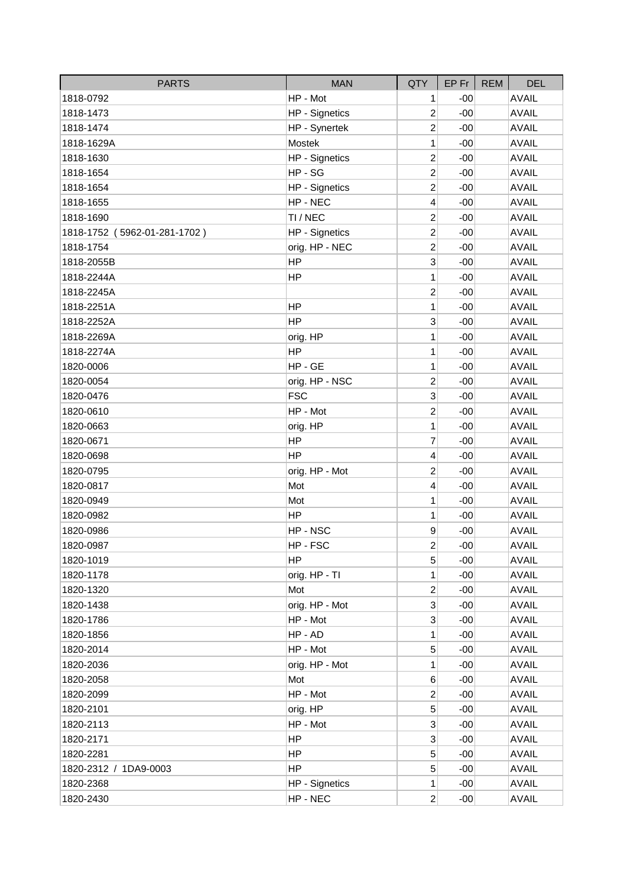| <b>PARTS</b>                 | <b>MAN</b>            | QTY                     | $EP$ Fr $ $ | <b>REM</b> | <b>DEL</b>   |
|------------------------------|-----------------------|-------------------------|-------------|------------|--------------|
| 1818-0792                    | HP - Mot              | 1                       | $-00$       |            | <b>AVAIL</b> |
| 1818-1473                    | <b>HP</b> - Signetics | $\overline{2}$          | $-00$       |            | <b>AVAIL</b> |
| 1818-1474                    | HP - Synertek         | $\overline{\mathbf{c}}$ | $-00$       |            | <b>AVAIL</b> |
| 1818-1629A                   | Mostek                | 1                       | $-00$       |            | <b>AVAIL</b> |
| 1818-1630                    | <b>HP</b> - Signetics | $\overline{2}$          | $-00$       |            | <b>AVAIL</b> |
| 1818-1654                    | HP-SG                 | $\overline{c}$          | $-00$       |            | <b>AVAIL</b> |
| 1818-1654                    | <b>HP</b> - Signetics | $\overline{c}$          | $-00$       |            | <b>AVAIL</b> |
| 1818-1655                    | HP - NEC              | 4                       | $-00$       |            | <b>AVAIL</b> |
| 1818-1690                    | TI / NEC              | $\overline{c}$          | $-00$       |            | <b>AVAIL</b> |
| 1818-1752 (5962-01-281-1702) | HP - Signetics        | $\overline{2}$          | $-00$       |            | <b>AVAIL</b> |
| 1818-1754                    | orig. HP - NEC        | $\overline{c}$          | $-00$       |            | <b>AVAIL</b> |
| 1818-2055B                   | <b>HP</b>             | 3                       | $-00$       |            | <b>AVAIL</b> |
| 1818-2244A                   | <b>HP</b>             | 1                       | $-00$       |            | <b>AVAIL</b> |
| 1818-2245A                   |                       | $\overline{c}$          | $-00$       |            | <b>AVAIL</b> |
| 1818-2251A                   | HP                    | 1                       | $-00$       |            | <b>AVAIL</b> |
| 1818-2252A                   | <b>HP</b>             | 3                       | $-00$       |            | <b>AVAIL</b> |
| 1818-2269A                   | orig. HP              | 1                       | $-00$       |            | <b>AVAIL</b> |
| 1818-2274A                   | <b>HP</b>             | 1                       | $-00$       |            | <b>AVAIL</b> |
| 1820-0006                    | HP-GE                 | 1                       | $-00$       |            | <b>AVAIL</b> |
| 1820-0054                    | orig. HP - NSC        | $\overline{c}$          | $-00$       |            | <b>AVAIL</b> |
| 1820-0476                    | <b>FSC</b>            | 3                       | $-00$       |            | <b>AVAIL</b> |
| 1820-0610                    | HP - Mot              | $\overline{2}$          | $-00$       |            | <b>AVAIL</b> |
| 1820-0663                    | orig. HP              | 1                       | $-00$       |            | <b>AVAIL</b> |
| 1820-0671                    | <b>HP</b>             | 7                       | $-00$       |            | <b>AVAIL</b> |
| 1820-0698                    | HP                    | $\overline{4}$          | $-00$       |            | <b>AVAIL</b> |
| 1820-0795                    | orig. HP - Mot        | $\overline{c}$          | $-00$       |            | <b>AVAIL</b> |
| 1820-0817                    | Mot                   | 4                       | $-00$       |            | <b>AVAIL</b> |
| 1820-0949                    | Mot                   | 1                       | $-00$       |            | <b>AVAIL</b> |
| 1820-0982                    | <b>HP</b>             | 1                       | $-00$       |            | <b>AVAIL</b> |
| 1820-0986                    | HP-NSC                | 9                       | $-00$       |            | <b>AVAIL</b> |
| 1820-0987                    | HP-FSC                | $\overline{2}$          | $-00$       |            | <b>AVAIL</b> |
| 1820-1019                    | HP.                   | 5                       | -00         |            | <b>AVAIL</b> |
| 1820-1178                    | orig. HP - TI         | 1                       | $-00$       |            | <b>AVAIL</b> |
| 1820-1320                    | Mot                   | $\overline{2}$          | $-00$       |            | <b>AVAIL</b> |
| 1820-1438                    | orig. HP - Mot        | 3                       | $-00$       |            | <b>AVAIL</b> |
| 1820-1786                    | HP - Mot              | 3                       | $-00$       |            | <b>AVAIL</b> |
| 1820-1856                    | HP-AD                 | 1                       | $-00$       |            | <b>AVAIL</b> |
| 1820-2014                    | HP - Mot              | 5                       | $-00$       |            | <b>AVAIL</b> |
| 1820-2036                    | orig. HP - Mot        | 1                       | $-00$       |            | <b>AVAIL</b> |
| 1820-2058                    | Mot                   | 6                       | $-00$       |            | <b>AVAIL</b> |
| 1820-2099                    | HP - Mot              | $\overline{2}$          | $-00$       |            | <b>AVAIL</b> |
| 1820-2101                    | orig. HP              | 5                       | $-00$       |            | <b>AVAIL</b> |
| 1820-2113                    | HP - Mot              | 3                       | $-00$       |            | <b>AVAIL</b> |
| 1820-2171                    | HP                    | 3                       | $-00$       |            | <b>AVAIL</b> |
| 1820-2281                    | HP.                   | 5                       | $-00$       |            | <b>AVAIL</b> |
| 1820-2312 / 1DA9-0003        | <b>HP</b>             | 5                       | $-00$       |            | <b>AVAIL</b> |
| 1820-2368                    | HP - Signetics        | 1                       | $-00$       |            | <b>AVAIL</b> |
| 1820-2430                    | HP - NEC              | $\overline{2}$          | $-00$       |            | <b>AVAIL</b> |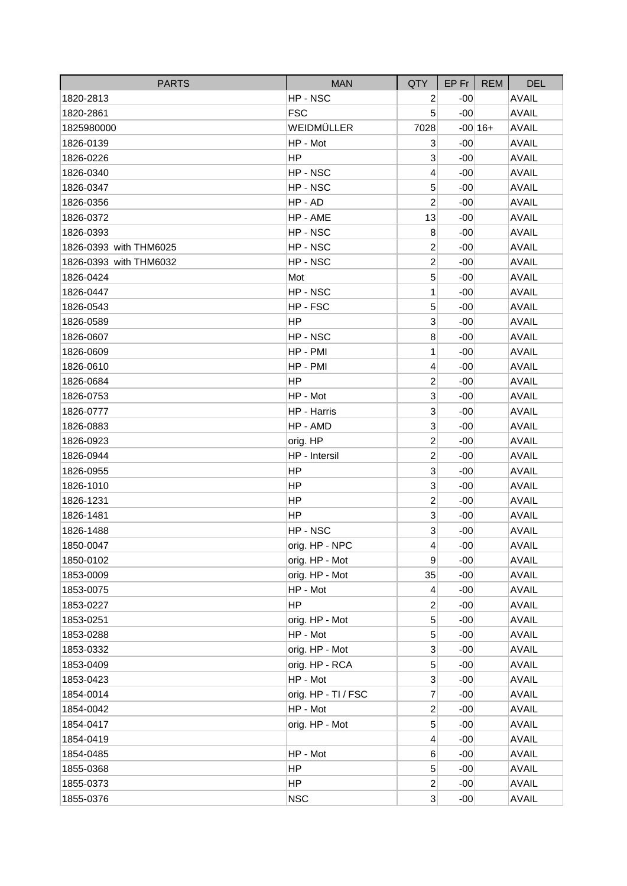| <b>PARTS</b>           | <b>MAN</b>          | QTY                     | $EP$ Fr | <b>REM</b> | <b>DEL</b>   |
|------------------------|---------------------|-------------------------|---------|------------|--------------|
| 1820-2813              | HP-NSC              | 2                       | $-00$   |            | <b>AVAIL</b> |
| 1820-2861              | <b>FSC</b>          | 5                       | $-00$   |            | <b>AVAIL</b> |
| 1825980000             | WEIDMÜLLER          | 7028                    |         | $-00 16+$  | <b>AVAIL</b> |
| 1826-0139              | HP - Mot            | 3                       | $-00$   |            | <b>AVAIL</b> |
| 1826-0226              | HP                  | 3                       | $-00$   |            | <b>AVAIL</b> |
| 1826-0340              | HP-NSC              | 4                       | $-00$   |            | <b>AVAIL</b> |
| 1826-0347              | HP-NSC              | 5                       | $-00$   |            | <b>AVAIL</b> |
| 1826-0356              | HP - AD             | $\overline{2}$          | $-00$   |            | <b>AVAIL</b> |
| 1826-0372              | HP - AME            | 13                      | $-00$   |            | <b>AVAIL</b> |
| 1826-0393              | HP-NSC              | 8                       | $-00$   |            | <b>AVAIL</b> |
| 1826-0393 with THM6025 | HP-NSC              | 2                       | $-00$   |            | <b>AVAIL</b> |
| 1826-0393 with THM6032 | HP-NSC              | $\overline{2}$          | $-00$   |            | <b>AVAIL</b> |
| 1826-0424              | Mot                 | 5                       | $-00$   |            | <b>AVAIL</b> |
| 1826-0447              | HP - NSC            | 1                       | $-00$   |            | <b>AVAIL</b> |
| 1826-0543              | HP-FSC              | 5                       | $-00$   |            | <b>AVAIL</b> |
| 1826-0589              | HP                  | 3                       | $-00$   |            | <b>AVAIL</b> |
| 1826-0607              | HP-NSC              | 8                       | -00     |            | <b>AVAIL</b> |
| 1826-0609              | HP - PMI            | 1                       | $-00$   |            | <b>AVAIL</b> |
| 1826-0610              | HP - PMI            | 4                       | $-00$   |            | <b>AVAIL</b> |
| 1826-0684              | HP                  | 2                       | $-00$   |            | <b>AVAIL</b> |
| 1826-0753              | HP - Mot            | 3                       | $-00$   |            | <b>AVAIL</b> |
| 1826-0777              | HP - Harris         | 3                       | $-00$   |            | <b>AVAIL</b> |
| 1826-0883              | HP - AMD            | 3                       | $-00$   |            | <b>AVAIL</b> |
| 1826-0923              | orig. HP            | $\overline{c}$          | $-00$   |            | <b>AVAIL</b> |
| 1826-0944              | HP - Intersil       | $\overline{c}$          | $-00$   |            | <b>AVAIL</b> |
| 1826-0955              | HP                  | 3                       | $-00$   |            | <b>AVAIL</b> |
| 1826-1010              | <b>HP</b>           | 3                       | $-00$   |            | <b>AVAIL</b> |
| 1826-1231              | HP                  | $\overline{c}$          | -00     |            | <b>AVAIL</b> |
| 1826-1481              | <b>HP</b>           | 3                       | $-00$   |            | <b>AVAIL</b> |
| 1826-1488              | HP-NSC              | 3                       | $-00$   |            | <b>AVAIL</b> |
| 1850-0047              | orig. HP - NPC      | $\overline{4}$          | $-00$   |            | <b>AVAIL</b> |
| 1850-0102              | orig. HP - Mot      | $\boldsymbol{9}$        | $-00$   |            | <b>AVAIL</b> |
| 1853-0009              | orig. HP - Mot      | 35                      | $-00$   |            | <b>AVAIL</b> |
| 1853-0075              | HP - Mot            | $\overline{\mathbf{4}}$ | $-00$   |            | <b>AVAIL</b> |
| 1853-0227              | <b>HP</b>           | $\overline{c}$          | $-00$   |            | <b>AVAIL</b> |
| 1853-0251              | orig. HP - Mot      | 5                       | $-00$   |            | <b>AVAIL</b> |
| 1853-0288              | HP - Mot            | 5                       | $-00$   |            | <b>AVAIL</b> |
| 1853-0332              | orig. HP - Mot      | 3                       | $-00$   |            | <b>AVAIL</b> |
| 1853-0409              | orig. HP - RCA      | 5                       | $-00$   |            | <b>AVAIL</b> |
| 1853-0423              | HP - Mot            | 3                       | $-00$   |            | <b>AVAIL</b> |
| 1854-0014              | orig. HP - TI / FSC | 7                       | $-00$   |            | <b>AVAIL</b> |
| 1854-0042              | HP - Mot            | $\mathbf 2$             | $-00$   |            | <b>AVAIL</b> |
| 1854-0417              | orig. HP - Mot      | 5                       | $-00$   |            | <b>AVAIL</b> |
| 1854-0419              |                     | 4                       | $-00$   |            | <b>AVAIL</b> |
| 1854-0485              | HP - Mot            | 6                       | $-00$   |            | <b>AVAIL</b> |
| 1855-0368              | HP                  | 5                       | $-00$   |            | <b>AVAIL</b> |
| 1855-0373              | <b>HP</b>           | $\overline{c}$          | $-00$   |            | <b>AVAIL</b> |
| 1855-0376              | <b>NSC</b>          | $\overline{3}$          | $-00$   |            | <b>AVAIL</b> |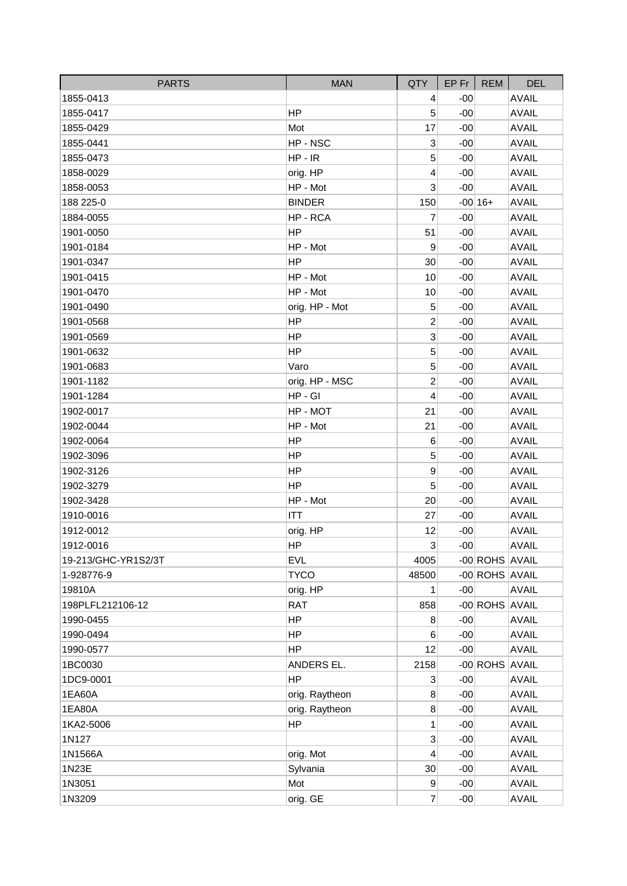| <b>PARTS</b>        | <b>MAN</b>     | QTY                       | $EP$ Fr $ $ | REM            | <b>DEL</b>   |
|---------------------|----------------|---------------------------|-------------|----------------|--------------|
| 1855-0413           |                | 4                         | $-00$       |                | <b>AVAIL</b> |
| 1855-0417           | HP             | 5                         | $-00$       |                | <b>AVAIL</b> |
| 1855-0429           | Mot            | 17                        | $-00$       |                | <b>AVAIL</b> |
| 1855-0441           | HP-NSC         | 3                         | $-00$       |                | <b>AVAIL</b> |
| 1855-0473           | $HP - IR$      | 5                         | $-00$       |                | <b>AVAIL</b> |
| 1858-0029           | orig. HP       | 4                         | $-00$       |                | <b>AVAIL</b> |
| 1858-0053           | HP - Mot       | 3                         | $-00$       |                | <b>AVAIL</b> |
| 188 225-0           | <b>BINDER</b>  | 150                       |             | $-00 16+$      | <b>AVAIL</b> |
| 1884-0055           | HP-RCA         | 7                         | $-00$       |                | <b>AVAIL</b> |
| 1901-0050           | HP             | 51                        | $-00$       |                | <b>AVAIL</b> |
| 1901-0184           | HP - Mot       | 9                         | $-00$       |                | <b>AVAIL</b> |
| 1901-0347           | HP             | 30                        | $-00$       |                | <b>AVAIL</b> |
| 1901-0415           | HP - Mot       | 10                        | $-00$       |                | <b>AVAIL</b> |
| 1901-0470           | HP - Mot       | 10                        | $-00$       |                | <b>AVAIL</b> |
| 1901-0490           | orig. HP - Mot | 5                         | $-00$       |                | <b>AVAIL</b> |
| 1901-0568           | HP             | $\overline{2}$            | $-00$       |                | <b>AVAIL</b> |
| 1901-0569           | HP             | 3                         | $-00$       |                | <b>AVAIL</b> |
| 1901-0632           | HP             | 5                         | $-00$       |                | <b>AVAIL</b> |
| 1901-0683           | Varo           | 5                         | $-00$       |                | <b>AVAIL</b> |
| 1901-1182           | orig. HP - MSC | $\overline{c}$            | $-00$       |                | <b>AVAIL</b> |
| 1901-1284           | $HP - GI$      | 4                         | $-00$       |                | <b>AVAIL</b> |
| 1902-0017           | HP - MOT       | 21                        | $-00$       |                | <b>AVAIL</b> |
| 1902-0044           | HP - Mot       | 21                        | $-00$       |                | <b>AVAIL</b> |
| 1902-0064           | <b>HP</b>      | $6\phantom{1}6$           | $-00$       |                | <b>AVAIL</b> |
| 1902-3096           | HP             | 5                         | $-00$       |                | <b>AVAIL</b> |
| 1902-3126           | <b>HP</b>      | 9                         | $-00$       |                | <b>AVAIL</b> |
| 1902-3279           | HP             | 5                         | $-00$       |                | <b>AVAIL</b> |
| 1902-3428           | HP - Mot       | 20                        | $-00$       |                | <b>AVAIL</b> |
| 1910-0016           | <b>ITT</b>     | 27                        | $-00$       |                | <b>AVAIL</b> |
| 1912-0012           | orig. HP       | 12                        | $-00$       |                | <b>AVAIL</b> |
| 1912-0016           | <b>HP</b>      | $\ensuremath{\mathsf{3}}$ | $-00$       |                | <b>AVAIL</b> |
| 19-213/GHC-YR1S2/3T | <b>EVL</b>     | 4005                      |             | -00 ROHS AVAIL |              |
| 1-928776-9          | <b>TYCO</b>    | 48500                     |             | -00 ROHS AVAIL |              |
| 19810A              | orig. HP       | 1                         | $-00$       |                | <b>AVAIL</b> |
| 198PLFL212106-12    | <b>RAT</b>     | 858                       |             | -00 ROHS AVAIL |              |
| 1990-0455           | <b>HP</b>      | 8                         | $-00$       |                | <b>AVAIL</b> |
| 1990-0494           | <b>HP</b>      | 6                         | $-00$       |                | <b>AVAIL</b> |
| 1990-0577           | <b>HP</b>      | 12                        | $-00$       |                | <b>AVAIL</b> |
| 1BC0030             | ANDERS EL.     | 2158                      |             | -00 ROHS AVAIL |              |
| 1DC9-0001           | <b>HP</b>      | 3                         | $-00$       |                | <b>AVAIL</b> |
| 1EA60A              | orig. Raytheon | 8                         | $-00$       |                | <b>AVAIL</b> |
| 1EA80A              | orig. Raytheon | 8                         | $-00$       |                | <b>AVAIL</b> |
| 1KA2-5006           | <b>HP</b>      | 1                         | $-00$       |                | <b>AVAIL</b> |
| 1N127               |                | 3                         | $-00$       |                | <b>AVAIL</b> |
| 1N1566A             | orig. Mot      | $\overline{4}$            | $-00$       |                | <b>AVAIL</b> |
| 1N23E               | Sylvania       | 30                        | $-00$       |                | <b>AVAIL</b> |
| 1N3051              | Mot            | $\boldsymbol{9}$          | $-00$       |                | <b>AVAIL</b> |
| 1N3209              | orig. GE       | $\overline{7}$            | $-00$       |                | <b>AVAIL</b> |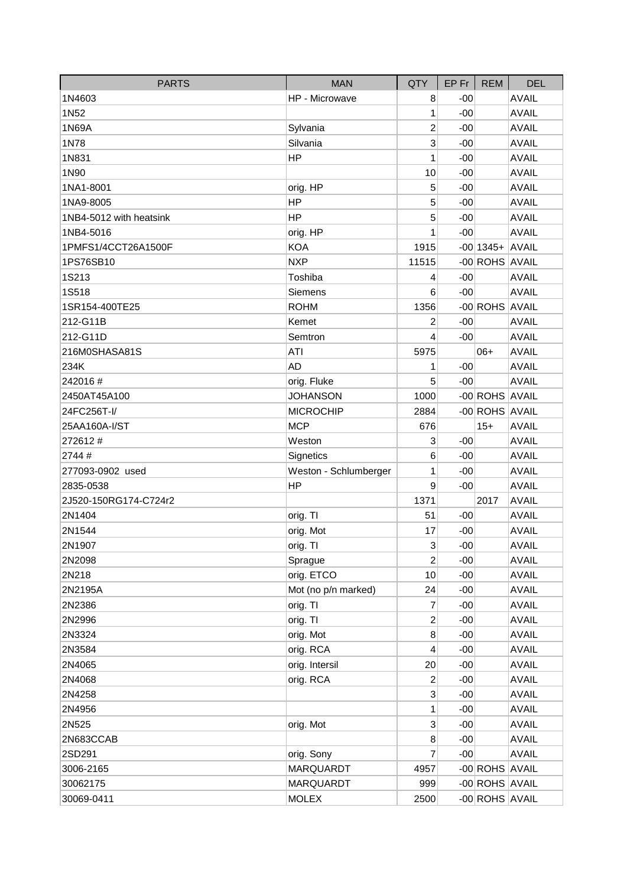| <b>PARTS</b>            | <b>MAN</b>            | QTY                     | EP Fr | <b>REM</b>        | <b>DEL</b>   |
|-------------------------|-----------------------|-------------------------|-------|-------------------|--------------|
| 1N4603                  | HP - Microwave        | 8                       | $-00$ |                   | <b>AVAIL</b> |
| 1N52                    |                       | $\mathbf{1}$            | $-00$ |                   | <b>AVAIL</b> |
| 1N69A                   | Sylvania              | $\overline{c}$          | $-00$ |                   | <b>AVAIL</b> |
| 1N78                    | Silvania              | 3                       | $-00$ |                   | <b>AVAIL</b> |
| 1N831                   | <b>HP</b>             | 1                       | $-00$ |                   | <b>AVAIL</b> |
| 1N90                    |                       | 10                      | $-00$ |                   | <b>AVAIL</b> |
| 1NA1-8001               | orig. HP              | 5                       | $-00$ |                   | <b>AVAIL</b> |
| 1NA9-8005               | <b>HP</b>             | 5                       | $-00$ |                   | <b>AVAIL</b> |
| 1NB4-5012 with heatsink | HP                    | 5                       | $-00$ |                   | <b>AVAIL</b> |
| 1NB4-5016               | orig. HP              | 1                       | $-00$ |                   | <b>AVAIL</b> |
| 1PMFS1/4CCT26A1500F     | <b>KOA</b>            | 1915                    |       | $-00$ 1345+ AVAIL |              |
| 1PS76SB10               | <b>NXP</b>            | 11515                   |       | -00 ROHS AVAIL    |              |
| 1S213                   | Toshiba               | 4                       | $-00$ |                   | <b>AVAIL</b> |
| 1S518                   | <b>Siemens</b>        | 6                       | $-00$ |                   | <b>AVAIL</b> |
| 1SR154-400TE25          | <b>ROHM</b>           | 1356                    |       | -00 ROHS AVAIL    |              |
| 212-G11B                | Kemet                 | $\overline{2}$          | $-00$ |                   | <b>AVAIL</b> |
| 212-G11D                | Semtron               | 4                       | $-00$ |                   | <b>AVAIL</b> |
| 216M0SHASA81S           | <b>ATI</b>            | 5975                    |       | $06+$             | <b>AVAIL</b> |
| 234K                    | <b>AD</b>             | 1                       | $-00$ |                   | <b>AVAIL</b> |
| 242016#                 | orig. Fluke           | 5                       | $-00$ |                   | <b>AVAIL</b> |
| 2450AT45A100            | <b>JOHANSON</b>       | 1000                    |       | -00 ROHS AVAIL    |              |
| 24FC256T-I/             | <b>MICROCHIP</b>      | 2884                    |       | -00 ROHS AVAIL    |              |
| 25AA160A-I/ST           | <b>MCP</b>            | 676                     |       | $15+$             | <b>AVAIL</b> |
| 272612#                 | Weston                | 3                       | $-00$ |                   | <b>AVAIL</b> |
| 2744#                   | Signetics             | $6\phantom{1}6$         | $-00$ |                   | <b>AVAIL</b> |
| 277093-0902 used        | Weston - Schlumberger | 1                       | $-00$ |                   | <b>AVAIL</b> |
| 2835-0538               | HP                    | 9                       | $-00$ |                   | <b>AVAIL</b> |
| 2J520-150RG174-C724r2   |                       | 1371                    |       | 2017              | <b>AVAIL</b> |
| 2N1404                  | orig. TI              | 51                      | $-00$ |                   | <b>AVAIL</b> |
| 2N1544                  | orig. Mot             | 17                      | $-00$ |                   | <b>AVAIL</b> |
| 2N1907                  | orig. TI              | 3                       | $-00$ |                   | <b>AVAIL</b> |
| 2N2098                  | Sprague               | $\overline{c}$          | $-00$ |                   | <b>AVAIL</b> |
| 2N218                   | orig. ETCO            | 10                      | $-00$ |                   | <b>AVAIL</b> |
| 2N2195A                 | Mot (no p/n marked)   | 24                      | $-00$ |                   | <b>AVAIL</b> |
| 2N2386                  | orig. TI              | 7                       | $-00$ |                   | <b>AVAIL</b> |
| 2N2996                  | orig. TI              | $\overline{\mathbf{c}}$ | $-00$ |                   | <b>AVAIL</b> |
| 2N3324                  | orig. Mot             | 8                       | $-00$ |                   | <b>AVAIL</b> |
| 2N3584                  | orig. RCA             | 4                       | $-00$ |                   | <b>AVAIL</b> |
| 2N4065                  | orig. Intersil        | 20                      | $-00$ |                   | <b>AVAIL</b> |
| 2N4068                  | orig. RCA             | $\overline{c}$          | $-00$ |                   | <b>AVAIL</b> |
| 2N4258                  |                       | 3                       | $-00$ |                   | <b>AVAIL</b> |
| 2N4956                  |                       | 1                       | $-00$ |                   | <b>AVAIL</b> |
| 2N525                   | orig. Mot             | 3                       | $-00$ |                   | <b>AVAIL</b> |
| 2N683CCAB               |                       | 8                       | $-00$ |                   | <b>AVAIL</b> |
| 2SD291                  | orig. Sony            | $\overline{7}$          | $-00$ |                   | <b>AVAIL</b> |
| 3006-2165               | MARQUARDT             | 4957                    |       | -00 ROHS AVAIL    |              |
| 30062175                | <b>MARQUARDT</b>      | 999                     |       | -00 ROHS AVAIL    |              |
| 30069-0411              | <b>MOLEX</b>          | 2500                    |       | -00 ROHS AVAIL    |              |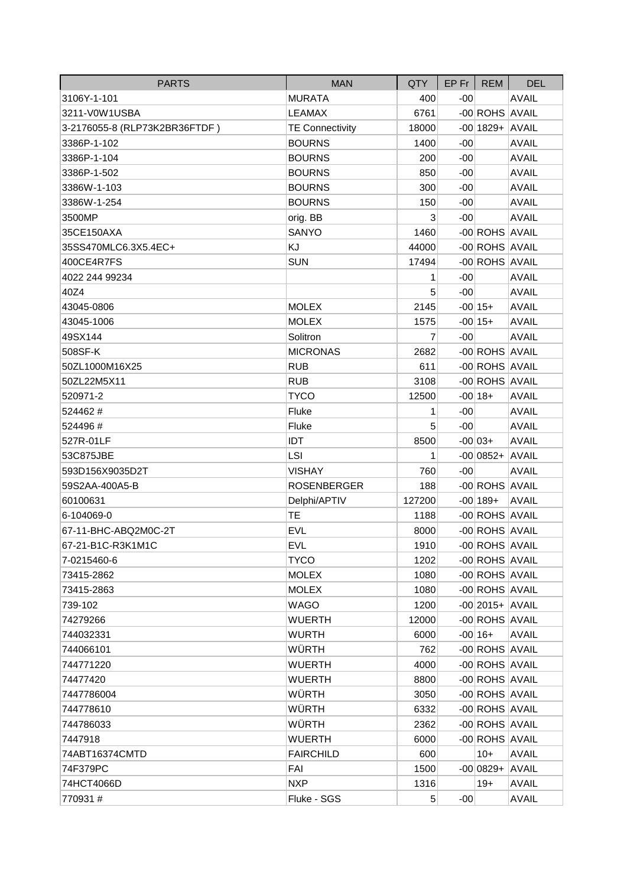| <b>PARTS</b>                  | <b>MAN</b>             | QTY             | $EP$ Fr $\parallel$ | <b>REM</b>         | <b>DEL</b>   |
|-------------------------------|------------------------|-----------------|---------------------|--------------------|--------------|
| 3106Y-1-101                   | <b>MURATA</b>          | 400             | $-00$               |                    | <b>AVAIL</b> |
| 3211-V0W1USBA                 | <b>LEAMAX</b>          | 6761            |                     | -00 ROHS AVAIL     |              |
| 3-2176055-8 (RLP73K2BR36FTDF) | <b>TE Connectivity</b> | 18000           |                     | $-00$ 1829+ AVAIL  |              |
| 3386P-1-102                   | <b>BOURNS</b>          | 1400            | $-00$               |                    | <b>AVAIL</b> |
| 3386P-1-104                   | <b>BOURNS</b>          | 200             | $-00$               |                    | <b>AVAIL</b> |
| 3386P-1-502                   | <b>BOURNS</b>          | 850             | $-00$               |                    | <b>AVAIL</b> |
| 3386W-1-103                   | <b>BOURNS</b>          | 300             | $-00$               |                    | <b>AVAIL</b> |
| 3386W-1-254                   | <b>BOURNS</b>          | 150             | $-00$               |                    | <b>AVAIL</b> |
| 3500MP                        | orig. BB               | 3               | $-00$               |                    | <b>AVAIL</b> |
| 35CE150AXA                    | SANYO                  | 1460            |                     | -00 ROHS AVAIL     |              |
| 35SS470MLC6.3X5.4EC+          | KJ                     | 44000           |                     | -00 ROHS AVAIL     |              |
| 400CE4R7FS                    | <b>SUN</b>             | 17494           |                     | -00 ROHS AVAIL     |              |
| 4022 244 99234                |                        | 1               | $-00$               |                    | <b>AVAIL</b> |
| 40Z4                          |                        | 5               | $-00$               |                    | <b>AVAIL</b> |
| 43045-0806                    | <b>MOLEX</b>           | 2145            |                     | $-00 15+$          | <b>AVAIL</b> |
| 43045-1006                    | <b>MOLEX</b>           | 1575            |                     | $-00 15+$          | <b>AVAIL</b> |
| 49SX144                       | Solitron               | 7               | $-00$               |                    | <b>AVAIL</b> |
| 508SF-K                       | <b>MICRONAS</b>        | 2682            |                     | -00 ROHS AVAIL     |              |
| 50ZL1000M16X25                | <b>RUB</b>             | 611             |                     | -00 ROHS AVAIL     |              |
| 50ZL22M5X11                   | <b>RUB</b>             | 3108            |                     | -00 ROHS AVAIL     |              |
| 520971-2                      | <b>TYCO</b>            | 12500           |                     | $-00 18+$          | <b>AVAIL</b> |
| 524462#                       | Fluke                  | 1               | $-00$               |                    | <b>AVAIL</b> |
| 524496#                       | Fluke                  | 5               | $-00$               |                    | <b>AVAIL</b> |
| 527R-01LF                     | IDT                    | 8500            |                     | $-00 03+$          | <b>AVAIL</b> |
| 53C875JBE                     | <b>LSI</b>             | 1               |                     | $-00 0852+ AVAIL $ |              |
| 593D156X9035D2T               | <b>VISHAY</b>          | 760             | $-00$               |                    | <b>AVAIL</b> |
| 59S2AA-400A5-B                | <b>ROSENBERGER</b>     | 188             |                     | -00 ROHS AVAIL     |              |
| 60100631                      | Delphi/APTIV           | 127200          |                     | $-00 189+$         | <b>AVAIL</b> |
| 6-104069-0                    | <b>TE</b>              | 1188            |                     | -00 ROHS AVAIL     |              |
| 67-11-BHC-ABQ2M0C-2T          | <b>EVL</b>             | 8000            |                     | -00 ROHS AVAIL     |              |
| 67-21-B1C-R3K1M1C             | <b>EVL</b>             | 1910            |                     | -00 ROHS AVAIL     |              |
| 7-0215460-6                   | <b>TYCO</b>            | 1202            |                     | -00 ROHS AVAIL     |              |
| 73415-2862                    | <b>MOLEX</b>           | 1080            |                     | -00 ROHS AVAIL     |              |
| 73415-2863                    | <b>MOLEX</b>           | 1080            |                     | -00 ROHS AVAIL     |              |
| 739-102                       | <b>WAGO</b>            | 1200            |                     | $-00$  2015+ AVAIL |              |
| 74279266                      | <b>WUERTH</b>          | 12000           |                     | -00 ROHS AVAIL     |              |
| 744032331                     | <b>WURTH</b>           | 6000            |                     | $-00 16+$          | <b>AVAIL</b> |
| 744066101                     | WÜRTH                  | 762             |                     | -00 ROHS AVAIL     |              |
| 744771220                     | <b>WUERTH</b>          | 4000            |                     | -00 ROHS AVAIL     |              |
| 74477420                      | <b>WUERTH</b>          | 8800            |                     | -00 ROHS AVAIL     |              |
| 7447786004                    | WÜRTH                  | 3050            |                     | -00 ROHS AVAIL     |              |
| 744778610                     | WÜRTH                  | 6332            |                     | -00 ROHS AVAIL     |              |
| 744786033                     | WÜRTH                  | 2362            |                     | -00 ROHS AVAIL     |              |
| 7447918                       | <b>WUERTH</b>          | 6000            |                     | -00 ROHS AVAIL     |              |
| 74ABT16374CMTD                | <b>FAIRCHILD</b>       | 600             |                     | $10+$              | <b>AVAIL</b> |
| 74F379PC                      | FAI                    | 1500            |                     | $-00 0829+ AVAIL $ |              |
| 74HCT4066D                    | <b>NXP</b>             | 1316            |                     | $19+$              | <b>AVAIL</b> |
| 770931#                       | Fluke - SGS            | $5\overline{)}$ | $-00$               |                    | <b>AVAIL</b> |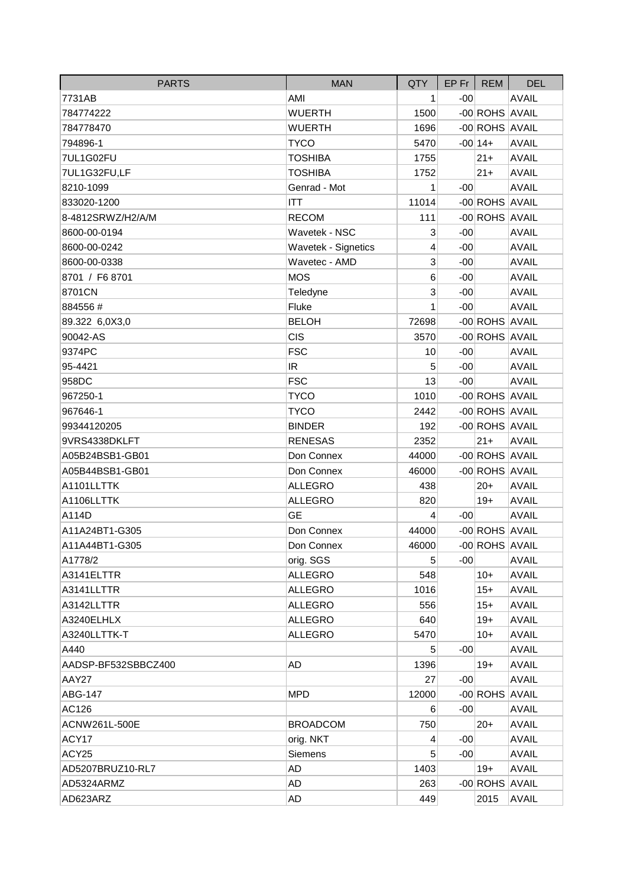| <b>PARTS</b>        | <b>MAN</b>          | QTY         |       | EP Fr   REM    | <b>DEL</b>   |
|---------------------|---------------------|-------------|-------|----------------|--------------|
| 7731AB              | AMI                 | 1           | $-00$ |                | <b>AVAIL</b> |
| 784774222           | <b>WUERTH</b>       | 1500        |       | -00 ROHS AVAIL |              |
| 784778470           | <b>WUERTH</b>       | 1696        |       | -00 ROHS AVAIL |              |
| 794896-1            | <b>TYCO</b>         | 5470        |       | $-00 14+$      | <b>AVAIL</b> |
| 7UL1G02FU           | <b>TOSHIBA</b>      | 1755        |       | $21 +$         | <b>AVAIL</b> |
| 7UL1G32FU,LF        | <b>TOSHIBA</b>      | 1752        |       | $21 +$         | <b>AVAIL</b> |
| 8210-1099           | Genrad - Mot        | 1           | $-00$ |                | <b>AVAIL</b> |
| 833020-1200         | ITT                 | 11014       |       | -00 ROHS AVAIL |              |
| 8-4812SRWZ/H2/A/M   | <b>RECOM</b>        | 111         |       | -00 ROHS AVAIL |              |
| 8600-00-0194        | Wavetek - NSC       | $\mathbf 3$ | $-00$ |                | <b>AVAIL</b> |
| 8600-00-0242        | Wavetek - Signetics | 4           | $-00$ |                | <b>AVAIL</b> |
| 8600-00-0338        | Wavetec - AMD       | 3           | $-00$ |                | <b>AVAIL</b> |
| 8701 / F6 8701      | <b>MOS</b>          | 6           | $-00$ |                | <b>AVAIL</b> |
| 8701CN              | Teledyne            | 3           | $-00$ |                | <b>AVAIL</b> |
| 884556#             | Fluke               | 1           | $-00$ |                | <b>AVAIL</b> |
| 89.322 6,0X3,0      | <b>BELOH</b>        | 72698       |       | -00 ROHS AVAIL |              |
| 90042-AS            | <b>CIS</b>          | 3570        |       | -00 ROHS AVAIL |              |
| 9374PC              | <b>FSC</b>          | 10          | $-00$ |                | <b>AVAIL</b> |
| 95-4421             | IR                  | 5           | $-00$ |                | <b>AVAIL</b> |
| 958DC               | <b>FSC</b>          | 13          | $-00$ |                | <b>AVAIL</b> |
| 967250-1            | <b>TYCO</b>         | 1010        |       | -00 ROHS AVAIL |              |
| 967646-1            | <b>TYCO</b>         | 2442        |       | -00 ROHS AVAIL |              |
| 99344120205         | <b>BINDER</b>       | 192         |       | -00 ROHS AVAIL |              |
| 9VRS4338DKLFT       | <b>RENESAS</b>      | 2352        |       | $21 +$         | <b>AVAIL</b> |
| A05B24BSB1-GB01     | Don Connex          | 44000       |       | -00 ROHS AVAIL |              |
| A05B44BSB1-GB01     | Don Connex          | 46000       |       | -00 ROHS AVAIL |              |
| A1101LLTTK          | <b>ALLEGRO</b>      | 438         |       | $20 +$         | <b>AVAIL</b> |
| A1106LLTTK          | <b>ALLEGRO</b>      | 820         |       | $19+$          | <b>AVAIL</b> |
| A114D               | <b>GE</b>           | 4           | $-00$ |                | <b>AVAIL</b> |
| A11A24BT1-G305      | Don Connex          | 44000       |       | -00 ROHS AVAIL |              |
| A11A44BT1-G305      | Don Connex          | 46000       |       | -00 ROHS AVAIL |              |
| A1778/2             | orig. SGS           | 5           | -001  |                | <b>AVAIL</b> |
| A3141ELTTR          | <b>ALLEGRO</b>      | 548         |       | $10+$          | <b>AVAIL</b> |
| A3141LLTTR          | <b>ALLEGRO</b>      | 1016        |       | $15+$          | <b>AVAIL</b> |
| A3142LLTTR          | <b>ALLEGRO</b>      | 556         |       | $15+$          | <b>AVAIL</b> |
| A3240ELHLX          | <b>ALLEGRO</b>      | 640         |       | $19+$          | <b>AVAIL</b> |
| A3240LLTTK-T        | <b>ALLEGRO</b>      | 5470        |       | $10+$          | <b>AVAIL</b> |
| A440                |                     | 5           | $-00$ |                | <b>AVAIL</b> |
| AADSP-BF532SBBCZ400 | AD                  | 1396        |       | $19+$          | <b>AVAIL</b> |
| AAY27               |                     | 27          | -00   |                | <b>AVAIL</b> |
| ABG-147             | <b>MPD</b>          | 12000       |       | -00 ROHS AVAIL |              |
| AC126               |                     | 6           | $-00$ |                | <b>AVAIL</b> |
| ACNW261L-500E       | <b>BROADCOM</b>     | 750         |       | $20+$          | <b>AVAIL</b> |
| ACY17               | orig. NKT           | 4           | -00   |                | <b>AVAIL</b> |
| ACY25               | <b>Siemens</b>      | 5           | $-00$ |                | <b>AVAIL</b> |
| AD5207BRUZ10-RL7    | AD                  | 1403        |       | $19+$          | <b>AVAIL</b> |
| AD5324ARMZ          | AD                  | 263         |       | -00 ROHS AVAIL |              |
| AD623ARZ            | <b>AD</b>           | 449         |       | 2015           | <b>AVAIL</b> |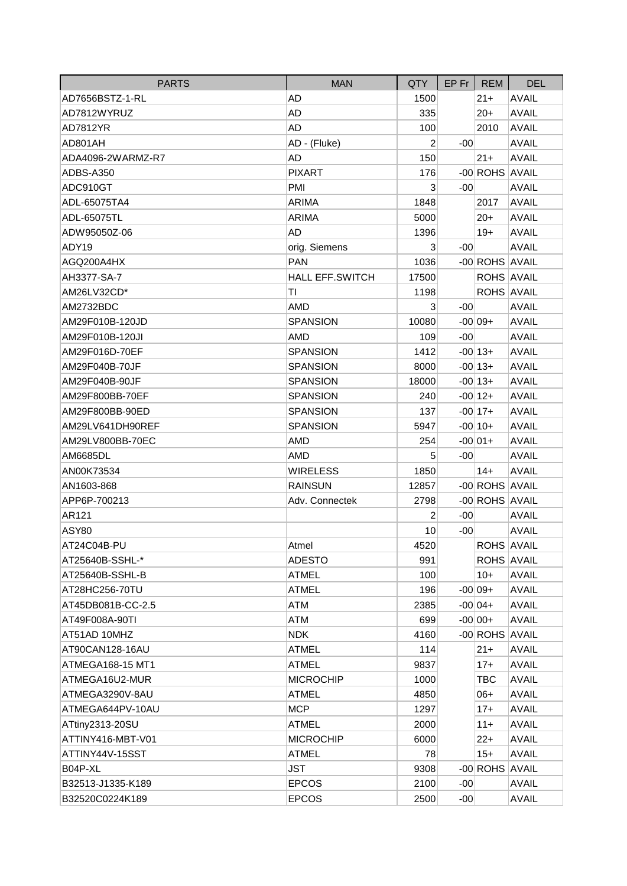| <b>PARTS</b>      | <b>MAN</b>             | <b>QTY</b>     | $EP$ Fr $ $ | <b>REM</b>        | <b>DEL</b>   |
|-------------------|------------------------|----------------|-------------|-------------------|--------------|
| AD7656BSTZ-1-RL   | AD                     | 1500           |             | $21 +$            | <b>AVAIL</b> |
| AD7812WYRUZ       | AD                     | 335            |             | $20+$             | <b>AVAIL</b> |
| AD7812YR          | <b>AD</b>              | 100            |             | 2010              | <b>AVAIL</b> |
| AD801AH           | AD - (Fluke)           | $\overline{2}$ | $-00$       |                   | <b>AVAIL</b> |
| ADA4096-2WARMZ-R7 | <b>AD</b>              | 150            |             | $21 +$            | <b>AVAIL</b> |
| ADBS-A350         | <b>PIXART</b>          | 176            |             | -00 ROHS AVAIL    |              |
| ADC910GT          | <b>PMI</b>             | 3              | $-00$       |                   | <b>AVAIL</b> |
| ADL-65075TA4      | ARIMA                  | 1848           |             | 2017              | <b>AVAIL</b> |
| ADL-65075TL       | ARIMA                  | 5000           |             | $20+$             | <b>AVAIL</b> |
| ADW95050Z-06      | AD                     | 1396           |             | $19+$             | <b>AVAIL</b> |
| ADY19             | orig. Siemens          | 3              | $-00$       |                   | <b>AVAIL</b> |
| AGQ200A4HX        | <b>PAN</b>             | 1036           |             | -00 ROHS AVAIL    |              |
| AH3377-SA-7       | <b>HALL EFF.SWITCH</b> | 17500          |             | <b>ROHS AVAIL</b> |              |
| AM26LV32CD*       | ΤI                     | 1198           |             | ROHS AVAIL        |              |
| AM2732BDC         | <b>AMD</b>             | 3              | $-00$       |                   | <b>AVAIL</b> |
| AM29F010B-120JD   | <b>SPANSION</b>        | 10080          |             | $-00 09+$         | <b>AVAIL</b> |
| AM29F010B-120JI   | <b>AMD</b>             | 109            | $-00$       |                   | <b>AVAIL</b> |
| AM29F016D-70EF    | <b>SPANSION</b>        | 1412           |             | $-00 13+$         | <b>AVAIL</b> |
| AM29F040B-70JF    | <b>SPANSION</b>        | 8000           |             | $-00 13+$         | <b>AVAIL</b> |
| AM29F040B-90JF    | <b>SPANSION</b>        | 18000          |             | $-00 13+$         | <b>AVAIL</b> |
| AM29F800BB-70EF   | <b>SPANSION</b>        | 240            |             | $-00 12+$         | <b>AVAIL</b> |
| AM29F800BB-90ED   | <b>SPANSION</b>        | 137            |             | $-00 17+$         | <b>AVAIL</b> |
| AM29LV641DH90REF  | <b>SPANSION</b>        | 5947           |             | $-00 10+$         | <b>AVAIL</b> |
| AM29LV800BB-70EC  | <b>AMD</b>             | 254            |             | $-00 01+$         | <b>AVAIL</b> |
| AM6685DL          | <b>AMD</b>             | 5              | $-00$       |                   | <b>AVAIL</b> |
| AN00K73534        | <b>WIRELESS</b>        | 1850           |             | $14+$             | <b>AVAIL</b> |
| AN1603-868        | <b>RAINSUN</b>         | 12857          |             | -00 ROHS AVAIL    |              |
| APP6P-700213      | Adv. Connectek         | 2798           |             | -00 ROHS AVAIL    |              |
| AR121             |                        | 2              | $-00$       |                   | <b>AVAIL</b> |
| ASY80             |                        | 10             | $-00$       |                   | <b>AVAIL</b> |
| AT24C04B-PU       | Atmel                  | 4520           |             | <b>ROHS AVAIL</b> |              |
| AT25640B-SSHL-*   | <b>ADESTO</b>          | 991            |             | ROHS AVAIL        |              |
| AT25640B-SSHL-B   | <b>ATMEL</b>           | 100            |             | $10+$             | <b>AVAIL</b> |
| AT28HC256-70TU    | <b>ATMEL</b>           | 196            |             | $-00 09+$         | <b>AVAIL</b> |
| AT45DB081B-CC-2.5 | ATM                    | 2385           |             | $-00 04+$         | <b>AVAIL</b> |
| AT49F008A-90TI    | ATM                    | 699            |             | $-00 00+$         | <b>AVAIL</b> |
| AT51AD 10MHZ      | <b>NDK</b>             | 4160           |             | -00 ROHS AVAIL    |              |
| AT90CAN128-16AU   | <b>ATMEL</b>           | 114            |             | $21 +$            | <b>AVAIL</b> |
| ATMEGA168-15 MT1  | <b>ATMEL</b>           | 9837           |             | $17+$             | <b>AVAIL</b> |
| ATMEGA16U2-MUR    | <b>MICROCHIP</b>       | 1000           |             | TBC               | <b>AVAIL</b> |
| ATMEGA3290V-8AU   | ATMEL                  | 4850           |             | $06+$             | <b>AVAIL</b> |
| ATMEGA644PV-10AU  | <b>MCP</b>             | 1297           |             | $17+$             | <b>AVAIL</b> |
| ATtiny2313-20SU   | <b>ATMEL</b>           | 2000           |             | $11+$             | <b>AVAIL</b> |
| ATTINY416-MBT-V01 | <b>MICROCHIP</b>       | 6000           |             | $22+$             | <b>AVAIL</b> |
| ATTINY44V-15SST   | <b>ATMEL</b>           | 78             |             | $15 +$            | <b>AVAIL</b> |
| B04P-XL           | JST                    | 9308           |             | -00 ROHS AVAIL    |              |
| B32513-J1335-K189 | <b>EPCOS</b>           | 2100           | $-00$       |                   | <b>AVAIL</b> |
| B32520C0224K189   | <b>EPCOS</b>           | 2500           | $-00$       |                   | <b>AVAIL</b> |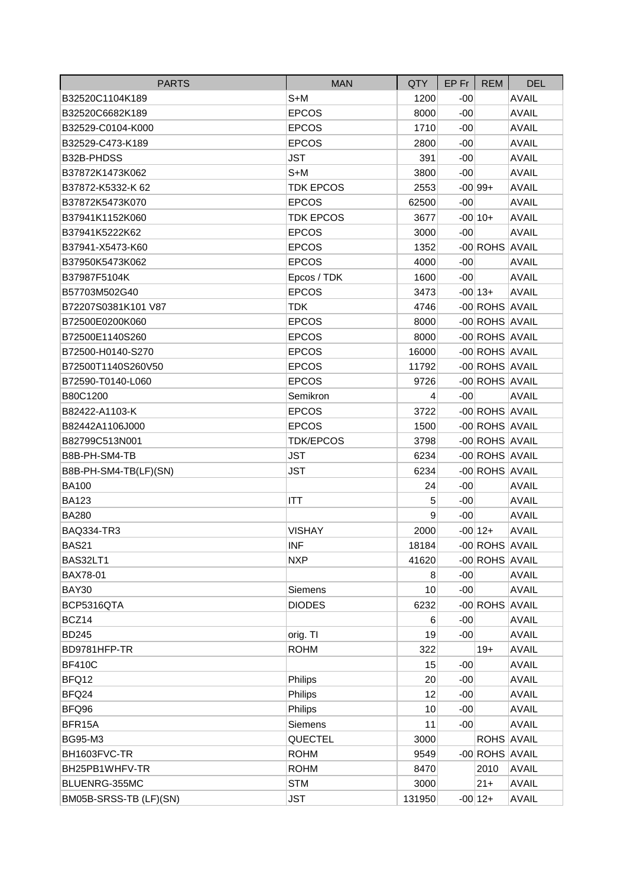| <b>PARTS</b>           | <b>MAN</b>       | <b>QTY</b>     | $EP$ Fr | <b>REM</b>     | <b>DEL</b>   |
|------------------------|------------------|----------------|---------|----------------|--------------|
| B32520C1104K189        | S+M              | 1200           | $-00$   |                | <b>AVAIL</b> |
| B32520C6682K189        | <b>EPCOS</b>     | 8000           | $-00$   |                | <b>AVAIL</b> |
| B32529-C0104-K000      | <b>EPCOS</b>     | 1710           | $-00$   |                | <b>AVAIL</b> |
| B32529-C473-K189       | <b>EPCOS</b>     | 2800           | $-00$   |                | <b>AVAIL</b> |
| B32B-PHDSS             | <b>JST</b>       | 391            | $-00$   |                | <b>AVAIL</b> |
| B37872K1473K062        | $S+M$            | 3800           | $-00$   |                | <b>AVAIL</b> |
| B37872-K5332-K 62      | <b>TDK EPCOS</b> | 2553           |         | $-00 99+$      | <b>AVAIL</b> |
| B37872K5473K070        | <b>EPCOS</b>     | 62500          | $-00$   |                | <b>AVAIL</b> |
| B37941K1152K060        | <b>TDK EPCOS</b> | 3677           |         | $-00 10+$      | <b>AVAIL</b> |
| B37941K5222K62         | <b>EPCOS</b>     | 3000           | $-00$   |                | <b>AVAIL</b> |
| B37941-X5473-K60       | <b>EPCOS</b>     | 1352           |         | -00 ROHS AVAIL |              |
| B37950K5473K062        | <b>EPCOS</b>     | 4000           | $-00$   |                | <b>AVAIL</b> |
| B37987F5104K           | Epcos / TDK      | 1600           | $-00$   |                | <b>AVAIL</b> |
| B57703M502G40          | <b>EPCOS</b>     | 3473           |         | $-00 13+$      | <b>AVAIL</b> |
| B72207S0381K101 V87    | <b>TDK</b>       | 4746           |         | -00 ROHS AVAIL |              |
| B72500E0200K060        | <b>EPCOS</b>     | 8000           |         | -00 ROHS AVAIL |              |
| B72500E1140S260        | <b>EPCOS</b>     | 8000           |         | -00 ROHS AVAIL |              |
| B72500-H0140-S270      | <b>EPCOS</b>     | 16000          |         | -00 ROHS AVAIL |              |
| B72500T1140S260V50     | <b>EPCOS</b>     | 11792          |         | -00 ROHS AVAIL |              |
| B72590-T0140-L060      | <b>EPCOS</b>     | 9726           |         | -00 ROHS AVAIL |              |
| B80C1200               | Semikron         | $\overline{4}$ | $-00$   |                | <b>AVAIL</b> |
| B82422-A1103-K         | <b>EPCOS</b>     | 3722           |         | -00 ROHS AVAIL |              |
| B82442A1106J000        | <b>EPCOS</b>     | 1500           |         | -00 ROHS AVAIL |              |
| B82799C513N001         | <b>TDK/EPCOS</b> | 3798           |         | -00 ROHS AVAIL |              |
| B8B-PH-SM4-TB          | <b>JST</b>       | 6234           |         | -00 ROHS AVAIL |              |
| B8B-PH-SM4-TB(LF)(SN)  | <b>JST</b>       | 6234           |         | -00 ROHS AVAIL |              |
| <b>BA100</b>           |                  | 24             | $-00$   |                | <b>AVAIL</b> |
| <b>BA123</b>           | ITT              | 5              | $-00$   |                | <b>AVAIL</b> |
| <b>BA280</b>           |                  | 9              | $-00$   |                | <b>AVAIL</b> |
| <b>BAQ334-TR3</b>      | <b>VISHAY</b>    | 2000           |         | $-00 12+$      | <b>AVAIL</b> |
| <b>BAS21</b>           | <b>INF</b>       | 18184          |         | -00 ROHS AVAIL |              |
| BAS32LT1               | <b>NXP</b>       | 41620          |         | -00 ROHS AVAIL |              |
| BAX78-01               |                  | 8              | $-00$   |                | <b>AVAIL</b> |
| BAY30                  | Siemens          | 10             | $-00$   |                | <b>AVAIL</b> |
| BCP5316QTA             | <b>DIODES</b>    | 6232           |         | -00 ROHS AVAIL |              |
| BCZ14                  |                  | 6              | $-00$   |                | <b>AVAIL</b> |
| <b>BD245</b>           | orig. TI         | 19             | $-00$   |                | <b>AVAIL</b> |
| BD9781HFP-TR           | <b>ROHM</b>      | 322            |         | $19+$          | <b>AVAIL</b> |
| <b>BF410C</b>          |                  | 15             | $-00$   |                | <b>AVAIL</b> |
| BFQ12                  | Philips          | 20             | $-00$   |                | <b>AVAIL</b> |
| BFQ24                  | Philips          | 12             | $-00$   |                | <b>AVAIL</b> |
| BFQ96                  | Philips          | 10             | $-00$   |                | <b>AVAIL</b> |
| BFR15A                 | Siemens          | 11             | $-00$   |                | <b>AVAIL</b> |
| <b>BG95-M3</b>         | QUECTEL          | 3000           |         | ROHS AVAIL     |              |
| BH1603FVC-TR           | <b>ROHM</b>      | 9549           |         | -00 ROHS AVAIL |              |
| BH25PB1WHFV-TR         | <b>ROHM</b>      | 8470           |         | 2010           | <b>AVAIL</b> |
| BLUENRG-355MC          | <b>STM</b>       | 3000           |         | $21+$          | <b>AVAIL</b> |
| BM05B-SRSS-TB (LF)(SN) | <b>JST</b>       | 131950         |         | $-00 12+$      | <b>AVAIL</b> |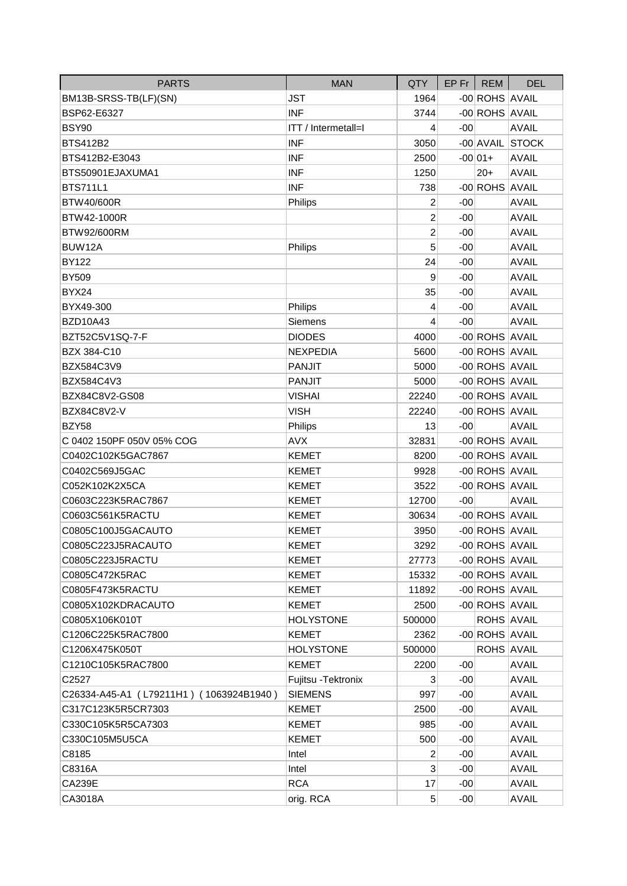| <b>PARTS</b>                            | <b>MAN</b>                 | QTY             |       | $EP$ Fr   REM  | <b>DEL</b>      |
|-----------------------------------------|----------------------------|-----------------|-------|----------------|-----------------|
| BM13B-SRSS-TB(LF)(SN)                   | <b>JST</b>                 | 1964            |       | -00 ROHS AVAIL |                 |
| BSP62-E6327                             | <b>INF</b>                 | 3744            |       | -00 ROHS AVAIL |                 |
| <b>BSY90</b>                            | <b>ITT</b> / Intermetall=I | 4               | $-00$ |                | <b>AVAIL</b>    |
| <b>BTS412B2</b>                         | <b>INF</b>                 | 3050            |       |                | -00 AVAIL STOCK |
| BTS412B2-E3043                          | <b>INF</b>                 | 2500            |       | $-00 01+$      | <b>AVAIL</b>    |
| BTS50901EJAXUMA1                        | <b>INF</b>                 | 1250            |       | $20+$          | <b>AVAIL</b>    |
| <b>BTS711L1</b>                         | <b>INF</b>                 | 738             |       | -00 ROHS AVAIL |                 |
| <b>BTW40/600R</b>                       | Philips                    | 2               | $-00$ |                | <b>AVAIL</b>    |
| BTW42-1000R                             |                            | $\overline{2}$  | $-00$ |                | <b>AVAIL</b>    |
| BTW92/600RM                             |                            | 2               | $-00$ |                | <b>AVAIL</b>    |
| BUW12A                                  | Philips                    | 5               | $-00$ |                | <b>AVAIL</b>    |
| <b>BY122</b>                            |                            | 24              | $-00$ |                | <b>AVAIL</b>    |
| <b>BY509</b>                            |                            | 9               | $-00$ |                | <b>AVAIL</b>    |
| BYX24                                   |                            | 35              | $-00$ |                | <b>AVAIL</b>    |
| BYX49-300                               | Philips                    | 4               | $-00$ |                | <b>AVAIL</b>    |
| <b>BZD10A43</b>                         | Siemens                    | 4               | $-00$ |                | <b>AVAIL</b>    |
| BZT52C5V1SQ-7-F                         | <b>DIODES</b>              | 4000            |       | -00 ROHS AVAIL |                 |
| BZX 384-C10                             | <b>NEXPEDIA</b>            | 5600            |       | -00 ROHS AVAIL |                 |
| BZX584C3V9                              | <b>PANJIT</b>              | 5000            |       | -00 ROHS AVAIL |                 |
| BZX584C4V3                              | <b>PANJIT</b>              | 5000            |       | -00 ROHS AVAIL |                 |
| BZX84C8V2-GS08                          | <b>VISHAI</b>              | 22240           |       | -00 ROHS AVAIL |                 |
| BZX84C8V2-V                             | <b>VISH</b>                | 22240           |       | -00 ROHS AVAIL |                 |
| BZY58                                   | Philips                    | 13              | $-00$ |                | <b>AVAIL</b>    |
| C 0402 150PF 050V 05% COG               | <b>AVX</b>                 | 32831           |       | -00 ROHS AVAIL |                 |
| C0402C102K5GAC7867                      | <b>KEMET</b>               | 8200            |       | -00 ROHS AVAIL |                 |
| C0402C569J5GAC                          | <b>KEMET</b>               | 9928            |       | -00 ROHS AVAIL |                 |
| C052K102K2X5CA                          | <b>KEMET</b>               | 3522            |       | -00 ROHS AVAIL |                 |
| C0603C223K5RAC7867                      | <b>KEMET</b>               | 12700           | $-00$ |                | <b>AVAIL</b>    |
| C0603C561K5RACTU                        | <b>KEMET</b>               | 30634           |       | -00 ROHS AVAIL |                 |
| C0805C100J5GACAUTO                      | <b>KEMET</b>               | 3950            |       | -00 ROHS AVAIL |                 |
| C0805C223J5RACAUTO                      | <b>KEMET</b>               | 3292            |       | -00 ROHS AVAIL |                 |
| C0805C223J5RACTU                        | KEMET                      | 27773           |       | -00 ROHS AVAIL |                 |
| C0805C472K5RAC                          | <b>KEMET</b>               | 15332           |       | -00 ROHS AVAIL |                 |
| C0805F473K5RACTU                        | <b>KEMET</b>               | 11892           |       | -00 ROHS AVAIL |                 |
| C0805X102KDRACAUTO                      | <b>KEMET</b>               | 2500            |       | -00 ROHS AVAIL |                 |
| C0805X106K010T                          | <b>HOLYSTONE</b>           | 500000          |       | ROHS AVAIL     |                 |
| C1206C225K5RAC7800                      | <b>KEMET</b>               | 2362            |       | -00 ROHS AVAIL |                 |
| C1206X475K050T                          | <b>HOLYSTONE</b>           | 500000          |       | ROHS AVAIL     |                 |
| C1210C105K5RAC7800                      | <b>KEMET</b>               | 2200            | -00   |                | <b>AVAIL</b>    |
| C2527                                   | Fujitsu - Tektronix        | 3               | $-00$ |                | <b>AVAIL</b>    |
| C26334-A45-A1 (L79211H1) (1063924B1940) | <b>SIEMENS</b>             | 997             | $-00$ |                | <b>AVAIL</b>    |
| C317C123K5R5CR7303                      | <b>KEMET</b>               | 2500            | $-00$ |                | <b>AVAIL</b>    |
| C330C105K5R5CA7303                      | <b>KEMET</b>               | 985             | $-00$ |                | <b>AVAIL</b>    |
| C330C105M5U5CA                          | <b>KEMET</b>               | 500             | $-00$ |                | <b>AVAIL</b>    |
| C8185                                   | Intel                      | 2               | $-00$ |                | <b>AVAIL</b>    |
| C8316A                                  | Intel                      | 3               | $-00$ |                | <b>AVAIL</b>    |
| CA239E                                  | <b>RCA</b>                 | 17              | $-00$ |                | <b>AVAIL</b>    |
| CA3018A                                 | orig. RCA                  | $5\overline{)}$ | $-00$ |                | <b>AVAIL</b>    |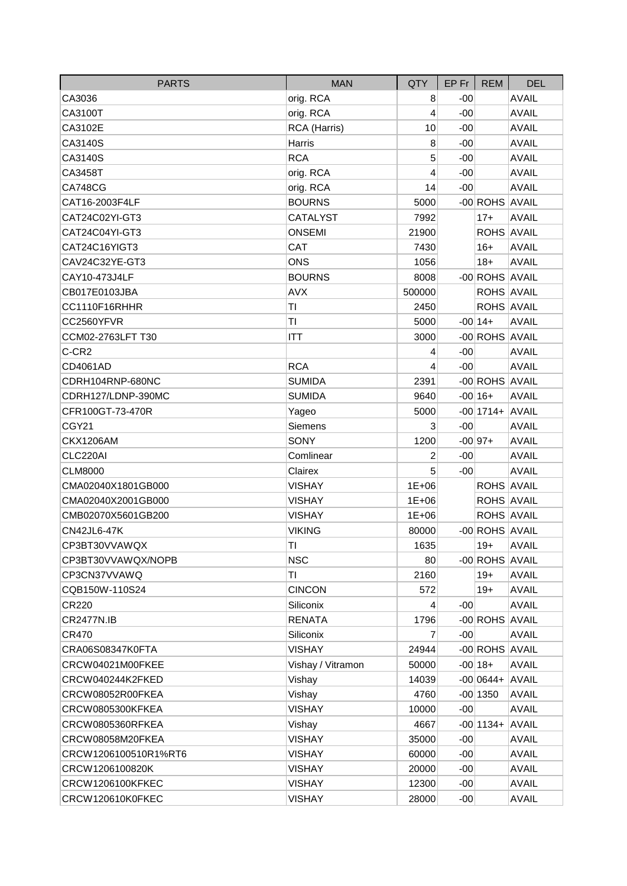| <b>PARTS</b>         | <b>MAN</b>        | QTY            | $EP$ Fr $ $ | <b>REM</b>          | <b>DEL</b>   |
|----------------------|-------------------|----------------|-------------|---------------------|--------------|
| CA3036               | orig. RCA         | 8              | $-00$       |                     | <b>AVAIL</b> |
| CA3100T              | orig. RCA         | 4              | $-00$       |                     | <b>AVAIL</b> |
| CA3102E              | RCA (Harris)      | 10             | $-00$       |                     | <b>AVAIL</b> |
| CA3140S              | Harris            | 8              | $-00$       |                     | <b>AVAIL</b> |
| CA3140S              | <b>RCA</b>        | 5              | $-00$       |                     | <b>AVAIL</b> |
| CA3458T              | orig. RCA         | 4              | $-00$       |                     | <b>AVAIL</b> |
| <b>CA748CG</b>       | orig. RCA         | 14             | $-00$       |                     | <b>AVAIL</b> |
| CAT16-2003F4LF       | <b>BOURNS</b>     | 5000           |             | -00 ROHS AVAIL      |              |
| CAT24C02YI-GT3       | <b>CATALYST</b>   | 7992           |             | $17+$               | <b>AVAIL</b> |
| CAT24C04YI-GT3       | <b>ONSEMI</b>     | 21900          |             | ROHS AVAIL          |              |
| CAT24C16YIGT3        | CAT               | 7430           |             | $16+$               | <b>AVAIL</b> |
| CAV24C32YE-GT3       | <b>ONS</b>        | 1056           |             | $18+$               | <b>AVAIL</b> |
| CAY10-473J4LF        | <b>BOURNS</b>     | 8008           |             | -00 ROHS AVAIL      |              |
| CB017E0103JBA        | <b>AVX</b>        | 500000         |             | ROHS AVAIL          |              |
| CC1110F16RHHR        | TI                | 2450           |             | ROHS AVAIL          |              |
| CC2560YFVR           | TI                | 5000           |             | $-00 14+$           | <b>AVAIL</b> |
| CCM02-2763LFT T30    | <b>ITT</b>        | 3000           |             | -00 ROHS AVAIL      |              |
| C-CR2                |                   | 4              | $-00$       |                     | <b>AVAIL</b> |
| CD4061AD             | <b>RCA</b>        | 4              | $-00$       |                     | <b>AVAIL</b> |
| CDRH104RNP-680NC     | <b>SUMIDA</b>     | 2391           |             | -00 ROHS AVAIL      |              |
| CDRH127/LDNP-390MC   | <b>SUMIDA</b>     | 9640           |             | $-00 16+$           | <b>AVAIL</b> |
| CFR100GT-73-470R     | Yageo             | 5000           |             | $-00$  1714+ AVAIL  |              |
| CGY21                | Siemens           | 3              | $-00$       |                     | <b>AVAIL</b> |
| <b>CKX1206AM</b>     | SONY              | 1200           |             | $-00 97+$           | <b>AVAIL</b> |
| CLC220AI             | Comlinear         | 2              | $-00$       |                     | <b>AVAIL</b> |
| <b>CLM8000</b>       | Clairex           | 5              | $-00$       |                     | <b>AVAIL</b> |
| CMA02040X1801GB000   | <b>VISHAY</b>     | $1E + 06$      |             | ROHS AVAIL          |              |
| CMA02040X2001GB000   | <b>VISHAY</b>     | $1E + 06$      |             | ROHS AVAIL          |              |
| CMB02070X5601GB200   | <b>VISHAY</b>     | $1E + 06$      |             | ROHS AVAIL          |              |
| <b>CN42JL6-47K</b>   | <b>VIKING</b>     | 80000          |             | -00 ROHS AVAIL      |              |
| CP3BT30VVAWQX        | TI                | 1635           |             | $19+$               | <b>AVAIL</b> |
| CP3BT30VVAWQX/NOPB   | <b>NSC</b>        | 80             |             | -00 ROHS AVAIL      |              |
| CP3CN37VVAWQ         | ΤI                | 2160           |             | $19+$               | <b>AVAIL</b> |
| CQB150W-110S24       | <b>CINCON</b>     | 572            |             | $19+$               | <b>AVAIL</b> |
| CR220                | Siliconix         | $\overline{4}$ | $-00$       |                     | <b>AVAIL</b> |
| <b>CR2477N.IB</b>    | <b>RENATA</b>     | 1796           |             | -00 ROHS AVAIL      |              |
| CR470                | Siliconix         | 7              | $-00$       |                     | <b>AVAIL</b> |
| CRA06S08347K0FTA     | <b>VISHAY</b>     | 24944          |             | -00 ROHS AVAIL      |              |
| CRCW04021M00FKEE     | Vishay / Vitramon | 50000          |             | $-00 18+$           | <b>AVAIL</b> |
| CRCW040244K2FKED     | Vishay            | 14039          |             | $-00 0644 +  AVAIL$ |              |
| CRCW08052R00FKEA     | Vishay            | 4760           |             | $-00$ 1350          | <b>AVAIL</b> |
| CRCW0805300KFKEA     | <b>VISHAY</b>     | 10000          | $-00$       |                     | <b>AVAIL</b> |
| CRCW0805360RFKEA     | Vishay            | 4667           |             | $-00$ 1134+ AVAIL   |              |
| CRCW08058M20FKEA     | <b>VISHAY</b>     | 35000          | $-00$       |                     | <b>AVAIL</b> |
| CRCW1206100510R1%RT6 | <b>VISHAY</b>     | 60000          | $-00$       |                     | <b>AVAIL</b> |
| CRCW1206100820K      | <b>VISHAY</b>     | 20000          | $-00$       |                     | <b>AVAIL</b> |
| CRCW1206100KFKEC     | <b>VISHAY</b>     | 12300          | $-00$       |                     | <b>AVAIL</b> |
| CRCW120610K0FKEC     | <b>VISHAY</b>     | 28000          | $-00$       |                     | <b>AVAIL</b> |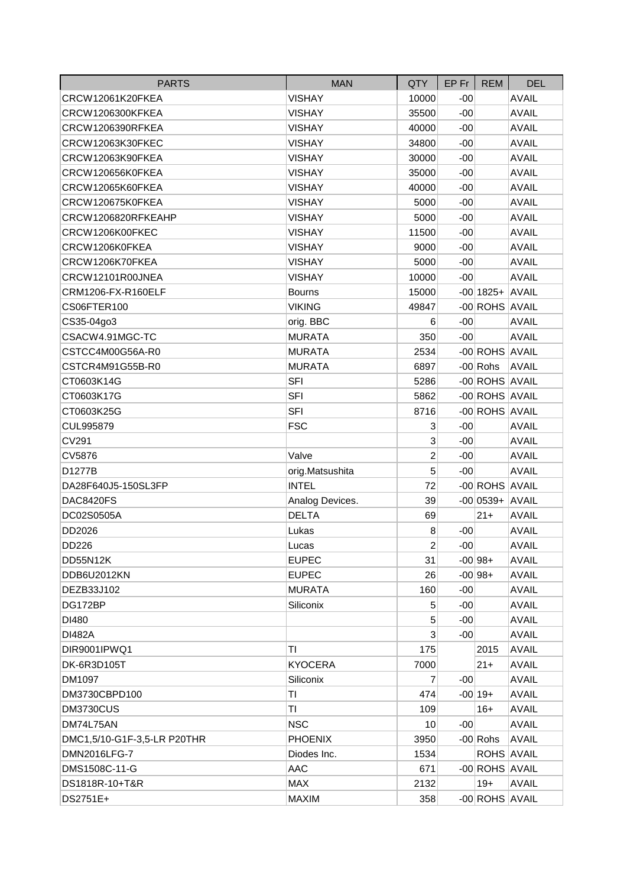| <b>PARTS</b>                | <b>MAN</b>      | <b>QTY</b>     | $EP$ Fr $ $ | <b>REM</b>        | <b>DEL</b>   |
|-----------------------------|-----------------|----------------|-------------|-------------------|--------------|
| CRCW12061K20FKEA            | <b>VISHAY</b>   | 10000          | $-00$       |                   | <b>AVAIL</b> |
| <b>CRCW1206300KFKEA</b>     | <b>VISHAY</b>   | 35500          | $-00$       |                   | <b>AVAIL</b> |
| CRCW1206390RFKEA            | <b>VISHAY</b>   | 40000          | $-00$       |                   | <b>AVAIL</b> |
| CRCW12063K30FKEC            | <b>VISHAY</b>   | 34800          | $-00$       |                   | <b>AVAIL</b> |
| CRCW12063K90FKEA            | <b>VISHAY</b>   | 30000          | $-00$       |                   | <b>AVAIL</b> |
| CRCW120656K0FKEA            | <b>VISHAY</b>   | 35000          | $-00$       |                   | <b>AVAIL</b> |
| CRCW12065K60FKEA            | <b>VISHAY</b>   | 40000          | $-00$       |                   | <b>AVAIL</b> |
| CRCW120675K0FKEA            | <b>VISHAY</b>   | 5000           | $-00$       |                   | <b>AVAIL</b> |
| CRCW1206820RFKEAHP          | <b>VISHAY</b>   | 5000           | $-00$       |                   | <b>AVAIL</b> |
| CRCW1206K00FKEC             | <b>VISHAY</b>   | 11500          | $-00$       |                   | <b>AVAIL</b> |
| CRCW1206K0FKEA              | <b>VISHAY</b>   | 9000           | $-00$       |                   | <b>AVAIL</b> |
| CRCW1206K70FKEA             | <b>VISHAY</b>   | 5000           | $-00$       |                   | <b>AVAIL</b> |
| CRCW12101R00JNEA            | <b>VISHAY</b>   | 10000          | $-00$       |                   | <b>AVAIL</b> |
| CRM1206-FX-R160ELF          | <b>Bourns</b>   | 15000          |             | $-00$ 1825+ AVAIL |              |
| CS06FTER100                 | <b>VIKING</b>   | 49847          |             | -00 ROHS AVAIL    |              |
| CS35-04go3                  | orig. BBC       | 6              | $-00$       |                   | <b>AVAIL</b> |
| CSACW4.91MGC-TC             | <b>MURATA</b>   | 350            | $-00$       |                   | <b>AVAIL</b> |
| CSTCC4M00G56A-R0            | <b>MURATA</b>   | 2534           |             | -00 ROHS AVAIL    |              |
| CSTCR4M91G55B-R0            | <b>MURATA</b>   | 6897           |             | $-00$ Rohs        | <b>AVAIL</b> |
| CT0603K14G                  | <b>SFI</b>      | 5286           |             | -00 ROHS AVAIL    |              |
| CT0603K17G                  | <b>SFI</b>      | 5862           |             | -00 ROHS AVAIL    |              |
| CT0603K25G                  | <b>SFI</b>      | 8716           |             | -00 ROHS AVAIL    |              |
| CUL995879                   | <b>FSC</b>      | 3              | $-00$       |                   | <b>AVAIL</b> |
| CV291                       |                 | 3              | $-00$       |                   | <b>AVAIL</b> |
| CV5876                      | Valve           | $\overline{c}$ | $-00$       |                   | <b>AVAIL</b> |
| D1277B                      | orig.Matsushita | 5              | $-00$       |                   | <b>AVAIL</b> |
| DA28F640J5-150SL3FP         | <b>INTEL</b>    | 72             |             | -00 ROHS AVAIL    |              |
| DAC8420FS                   | Analog Devices. | 39             |             | $-00 0539+ AVAIL$ |              |
| DC02S0505A                  | <b>DELTA</b>    | 69             |             | $21 +$            | <b>AVAIL</b> |
| DD2026                      | Lukas           | 8              | $-00$       |                   | <b>AVAIL</b> |
| DD226                       | Lucas           | $\mathbf{2}$   | $-00$       |                   | <b>AVAIL</b> |
| DD55N12K                    | <b>EUPEC</b>    | 31             |             | $-00 98+$         | AVAIL        |
| DDB6U2012KN                 | <b>EUPEC</b>    | 26             |             | $-00 98+$         | <b>AVAIL</b> |
| DEZB33J102                  | <b>MURATA</b>   | 160            | $-00$       |                   | <b>AVAIL</b> |
| DG172BP                     | Siliconix       | 5              | $-00$       |                   | <b>AVAIL</b> |
| DI480                       |                 | 5              | $-00$       |                   | <b>AVAIL</b> |
| <b>DI482A</b>               |                 | 3              | $-00$       |                   | <b>AVAIL</b> |
| DIR9001IPWQ1                | TI              | 175            |             | 2015              | <b>AVAIL</b> |
| DK-6R3D105T                 | <b>KYOCERA</b>  | 7000           |             | $21+$             | <b>AVAIL</b> |
| DM1097                      | Siliconix       | $\overline{7}$ | $-00$       |                   | <b>AVAIL</b> |
| DM3730CBPD100               | ΤI              | 474            |             | $-00 19+$         | <b>AVAIL</b> |
| DM3730CUS                   | TI              | 109            |             | $16+$             | <b>AVAIL</b> |
| DM74L75AN                   | <b>NSC</b>      | 10             | $-00$       |                   | <b>AVAIL</b> |
| DMC1,5/10-G1F-3,5-LR P20THR | <b>PHOENIX</b>  | 3950           |             | -00 Rohs          | <b>AVAIL</b> |
| DMN2016LFG-7                | Diodes Inc.     | 1534           |             | ROHS AVAIL        |              |
| DMS1508C-11-G               | AAC             | 671            |             | -00 ROHS AVAIL    |              |
| DS1818R-10+T&R              | <b>MAX</b>      | 2132           |             | $19+$             | <b>AVAIL</b> |
| DS2751E+                    | <b>MAXIM</b>    | 358            |             | -00 ROHS AVAIL    |              |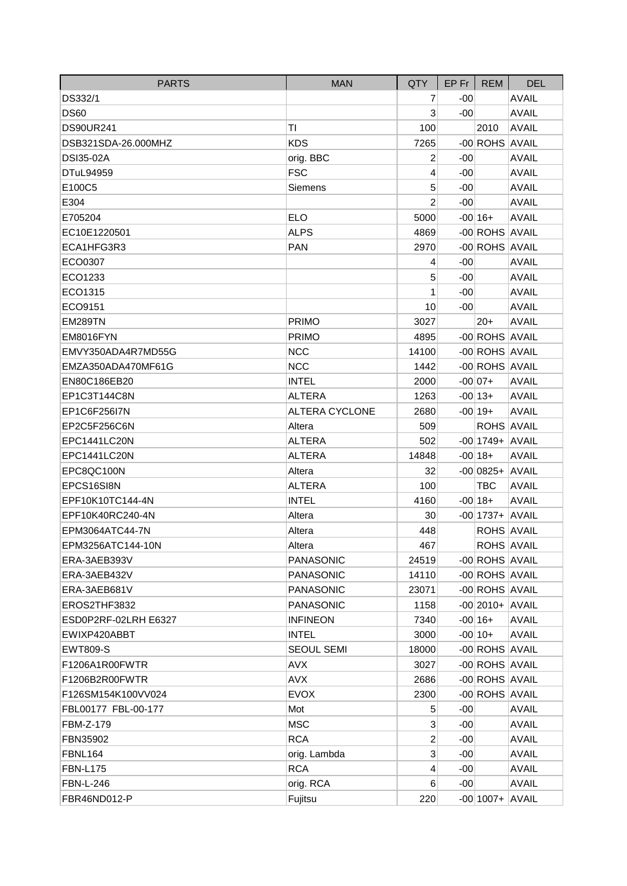| <b>PARTS</b>         | <b>MAN</b>            | QTY            | EP Fr | <b>REM</b>         | <b>DEL</b>   |
|----------------------|-----------------------|----------------|-------|--------------------|--------------|
| DS332/1              |                       | 7              | $-00$ |                    | <b>AVAIL</b> |
| <b>DS60</b>          |                       | 3              | -00   |                    | <b>AVAIL</b> |
| <b>DS90UR241</b>     | ΤI                    | 100            |       | 2010               | <b>AVAIL</b> |
| DSB321SDA-26.000MHZ  | <b>KDS</b>            | 7265           |       | -00 ROHS AVAIL     |              |
| <b>DSI35-02A</b>     | orig. BBC             | 2              | $-00$ |                    | <b>AVAIL</b> |
| DTuL94959            | <b>FSC</b>            | 4              | $-00$ |                    | <b>AVAIL</b> |
| E100C5               | <b>Siemens</b>        | 5              | -00   |                    | <b>AVAIL</b> |
| E304                 |                       | $\overline{2}$ | $-00$ |                    | <b>AVAIL</b> |
| E705204              | <b>ELO</b>            | 5000           |       | $-00 16+$          | <b>AVAIL</b> |
| EC10E1220501         | <b>ALPS</b>           | 4869           |       | -00 ROHS AVAIL     |              |
| ECA1HFG3R3           | <b>PAN</b>            | 2970           |       | -00 ROHS AVAIL     |              |
| ECO0307              |                       | 4              | $-00$ |                    | <b>AVAIL</b> |
| ECO1233              |                       | 5              | $-00$ |                    | <b>AVAIL</b> |
| ECO1315              |                       | 1              | -00   |                    | <b>AVAIL</b> |
| ECO9151              |                       | 10             | $-00$ |                    | <b>AVAIL</b> |
| <b>EM289TN</b>       | <b>PRIMO</b>          | 3027           |       | $20+$              | <b>AVAIL</b> |
| EM8016FYN            | <b>PRIMO</b>          | 4895           |       | -00 ROHS AVAIL     |              |
| EMVY350ADA4R7MD55G   | <b>NCC</b>            | 14100          |       | -00 ROHS AVAIL     |              |
| EMZA350ADA470MF61G   | <b>NCC</b>            | 1442           |       | -00 ROHS AVAIL     |              |
| EN80C186EB20         | <b>INTEL</b>          | 2000           |       | $-00 07+$          | <b>AVAIL</b> |
| EP1C3T144C8N         | <b>ALTERA</b>         | 1263           |       | $-00 13+$          | <b>AVAIL</b> |
| EP1C6F256I7N         | <b>ALTERA CYCLONE</b> | 2680           |       | $-00 19+$          | <b>AVAIL</b> |
| EP2C5F256C6N         | Altera                | 509            |       | <b>ROHS AVAIL</b>  |              |
| EPC1441LC20N         | <b>ALTERA</b>         | 502            |       | $-00$  1749+ AVAIL |              |
| EPC1441LC20N         | ALTERA                | 14848          |       | $-00 18+$          | <b>AVAIL</b> |
| EPC8QC100N           | Altera                | 32             |       | $-00 0825+ AVAIL$  |              |
| EPCS16SI8N           | <b>ALTERA</b>         | 100            |       | TBC                | <b>AVAIL</b> |
| EPF10K10TC144-4N     | <b>INTEL</b>          | 4160           |       | $-00 18+$          | <b>AVAIL</b> |
| EPF10K40RC240-4N     | Altera                | 30             |       | $-00$  1737+ AVAIL |              |
| EPM3064ATC44-7N      | Altera                | 448            |       | <b>ROHS AVAIL</b>  |              |
| EPM3256ATC144-10N    | Altera                | 467            |       | <b>ROHS AVAIL</b>  |              |
| ERA-3AEB393V         | <b>PANASONIC</b>      | 24519          |       | -00 ROHS AVAIL     |              |
| ERA-3AEB432V         | <b>PANASONIC</b>      | 14110          |       | -00 ROHS AVAIL     |              |
| ERA-3AEB681V         | <b>PANASONIC</b>      | 23071          |       | -00 ROHS AVAIL     |              |
| EROS2THF3832         | <b>PANASONIC</b>      | 1158           |       | $-00$  2010+ AVAIL |              |
| ESD0P2RF-02LRH E6327 | <b>INFINEON</b>       | 7340           |       | $-00 16+$          | <b>AVAIL</b> |
| EWIXP420ABBT         | <b>INTEL</b>          | 3000           |       | $-00 10+$          | <b>AVAIL</b> |
| <b>EWT809-S</b>      | <b>SEOUL SEMI</b>     | 18000          |       | -00 ROHS AVAIL     |              |
| F1206A1R00FWTR       | AVX                   | 3027           |       | -00 ROHS AVAIL     |              |
| F1206B2R00FWTR       | <b>AVX</b>            | 2686           |       | -00 ROHS AVAIL     |              |
| F126SM154K100VV024   | <b>EVOX</b>           | 2300           |       | -00 ROHS AVAIL     |              |
| FBL00177 FBL-00-177  | Mot                   | 5              | $-00$ |                    | <b>AVAIL</b> |
| FBM-Z-179            | <b>MSC</b>            | 3              | $-00$ |                    | <b>AVAIL</b> |
| FBN35902             | <b>RCA</b>            | $\overline{2}$ | $-00$ |                    | <b>AVAIL</b> |
| <b>FBNL164</b>       | orig. Lambda          | 3              | $-00$ |                    | <b>AVAIL</b> |
| <b>FBN-L175</b>      | <b>RCA</b>            | 4              | $-00$ |                    | <b>AVAIL</b> |
| <b>FBN-L-246</b>     | orig. RCA             | 6              | $-00$ |                    | <b>AVAIL</b> |
| FBR46ND012-P         | Fujitsu               | 220            |       | $-00$ 1007+ AVAIL  |              |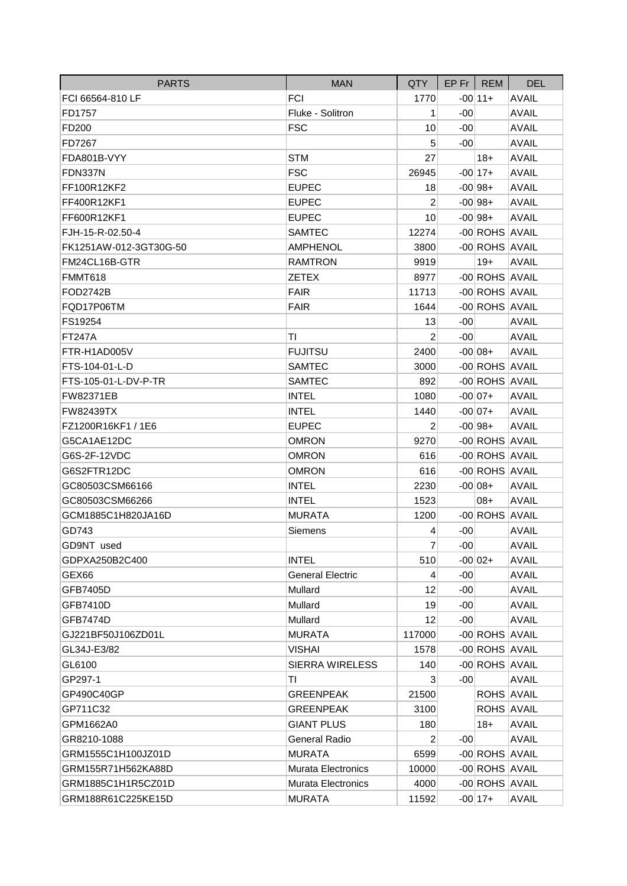| <b>PARTS</b>           | <b>MAN</b>                | QTY            |       | EP Fr REM      | <b>DEL</b>   |
|------------------------|---------------------------|----------------|-------|----------------|--------------|
| FCI 66564-810 LF       | <b>FCI</b>                | 1770           |       | $-00 11+$      | <b>AVAIL</b> |
| FD1757                 | Fluke - Solitron          | 1              | $-00$ |                | <b>AVAIL</b> |
| FD200                  | <b>FSC</b>                | 10             | $-00$ |                | <b>AVAIL</b> |
| FD7267                 |                           | 5              | $-00$ |                | <b>AVAIL</b> |
| FDA801B-VYY            | <b>STM</b>                | 27             |       | $18+$          | <b>AVAIL</b> |
| FDN337N                | <b>FSC</b>                | 26945          |       | $-00$ 17+      | <b>AVAIL</b> |
| FF100R12KF2            | <b>EUPEC</b>              | 18             |       | $-00 98+$      | <b>AVAIL</b> |
| FF400R12KF1            | <b>EUPEC</b>              | $\overline{2}$ |       | $-00 98+$      | <b>AVAIL</b> |
| FF600R12KF1            | <b>EUPEC</b>              | 10             |       | $-00 98+$      | <b>AVAIL</b> |
| FJH-15-R-02.50-4       | <b>SAMTEC</b>             | 12274          |       | -00 ROHS AVAIL |              |
| FK1251AW-012-3GT30G-50 | <b>AMPHENOL</b>           | 3800           |       | -00 ROHS AVAIL |              |
| FM24CL16B-GTR          | <b>RAMTRON</b>            | 9919           |       | $19+$          | <b>AVAIL</b> |
| FMMT618                | <b>ZETEX</b>              | 8977           |       | -00 ROHS AVAIL |              |
| <b>FOD2742B</b>        | <b>FAIR</b>               | 11713          |       | -00 ROHS AVAIL |              |
| FQD17P06TM             | <b>FAIR</b>               | 1644           |       | -00 ROHS AVAIL |              |
| FS19254                |                           | 13             | $-00$ |                | <b>AVAIL</b> |
| <b>FT247A</b>          | ΤI                        | $\overline{2}$ | $-00$ |                | <b>AVAIL</b> |
| FTR-H1AD005V           | <b>FUJITSU</b>            | 2400           |       | $-00 08+$      | <b>AVAIL</b> |
| FTS-104-01-L-D         | <b>SAMTEC</b>             | 3000           |       | -00 ROHS AVAIL |              |
| FTS-105-01-L-DV-P-TR   | <b>SAMTEC</b>             | 892            |       | -00 ROHS AVAIL |              |
| <b>FW82371EB</b>       | <b>INTEL</b>              | 1080           |       | $-00 07+$      | <b>AVAIL</b> |
| <b>FW82439TX</b>       | <b>INTEL</b>              | 1440           |       | $-00 07+$      | <b>AVAIL</b> |
| FZ1200R16KF1 / 1E6     | <b>EUPEC</b>              | 2              |       | $-00 98+$      | <b>AVAIL</b> |
| G5CA1AE12DC            | <b>OMRON</b>              | 9270           |       | -00 ROHS AVAIL |              |
| G6S-2F-12VDC           | <b>OMRON</b>              | 616            |       | -00 ROHS AVAIL |              |
| G6S2FTR12DC            | <b>OMRON</b>              | 616            |       | -00 ROHS AVAIL |              |
| GC80503CSM66166        | <b>INTEL</b>              | 2230           |       | $-00 08+$      | <b>AVAIL</b> |
| GC80503CSM66266        | <b>INTEL</b>              | 1523           |       | $08+$          | <b>AVAIL</b> |
| GCM1885C1H820JA16D     | <b>MURATA</b>             | 1200           |       | -00 ROHS AVAIL |              |
| GD743                  | Siemens                   | 4              | $-00$ |                | <b>AVAIL</b> |
| GD9NT used             |                           | $\overline{7}$ | $-00$ |                | <b>AVAIL</b> |
| GDPXA250B2C400         | <b>INTEL</b>              | 510            |       | $-00 02+$      | AVAIL        |
| GEX66                  | <b>General Electric</b>   | 4              | $-00$ |                | <b>AVAIL</b> |
| GFB7405D               | Mullard                   | 12             | $-00$ |                | <b>AVAIL</b> |
| GFB7410D               | Mullard                   | 19             | $-00$ |                | <b>AVAIL</b> |
| GFB7474D               | Mullard                   | 12             | $-00$ |                | <b>AVAIL</b> |
| GJ221BF50J106ZD01L     | <b>MURATA</b>             | 117000         |       | -00 ROHS AVAIL |              |
| GL34J-E3/82            | <b>VISHAI</b>             | 1578           |       | -00 ROHS AVAIL |              |
| GL6100                 | SIERRA WIRELESS           | 140            |       | -00 ROHS AVAIL |              |
| GP297-1                | ΤI                        | 3              | $-00$ |                | <b>AVAIL</b> |
| GP490C40GP             | <b>GREENPEAK</b>          | 21500          |       | ROHS AVAIL     |              |
| GP711C32               | <b>GREENPEAK</b>          | 3100           |       | ROHS AVAIL     |              |
| GPM1662A0              | <b>GIANT PLUS</b>         | 180            |       | $18+$          | <b>AVAIL</b> |
| GR8210-1088            | <b>General Radio</b>      | $\overline{c}$ | -00   |                | <b>AVAIL</b> |
| GRM1555C1H100JZ01D     | <b>MURATA</b>             | 6599           |       | -00 ROHS AVAIL |              |
| GRM155R71H562KA88D     | <b>Murata Electronics</b> | 10000          |       | -00 ROHS AVAIL |              |
| GRM1885C1H1R5CZ01D     | <b>Murata Electronics</b> | 4000           |       | -00 ROHS AVAIL |              |
| GRM188R61C225KE15D     | <b>MURATA</b>             | 11592          |       | $-00 17+$      | <b>AVAIL</b> |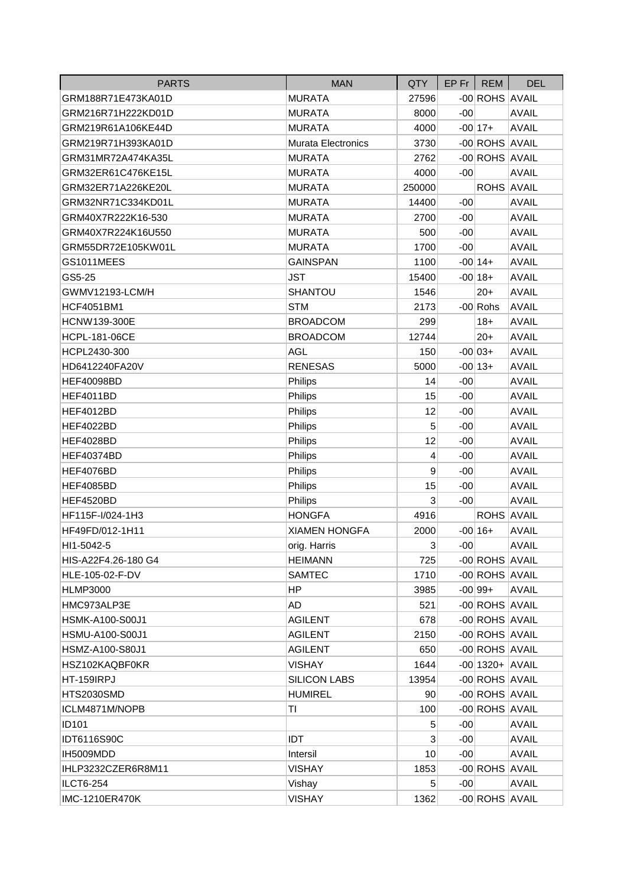| <b>PARTS</b>         | <b>MAN</b>                | QTY             |       | $EP$ Fr   REM     | <b>DEL</b>   |
|----------------------|---------------------------|-----------------|-------|-------------------|--------------|
| GRM188R71E473KA01D   | <b>MURATA</b>             | 27596           |       | -00 ROHS AVAIL    |              |
| GRM216R71H222KD01D   | <b>MURATA</b>             | 8000            | $-00$ |                   | <b>AVAIL</b> |
| GRM219R61A106KE44D   | <b>MURATA</b>             | 4000            |       | $-00$ 17+         | <b>AVAIL</b> |
| GRM219R71H393KA01D   | <b>Murata Electronics</b> | 3730            |       | -00 ROHS AVAIL    |              |
| GRM31MR72A474KA35L   | <b>MURATA</b>             | 2762            |       | -00 ROHS AVAIL    |              |
| GRM32ER61C476KE15L   | <b>MURATA</b>             | 4000            | $-00$ |                   | <b>AVAIL</b> |
| GRM32ER71A226KE20L   | <b>MURATA</b>             | 250000          |       | ROHS AVAIL        |              |
| GRM32NR71C334KD01L   | <b>MURATA</b>             | 14400           | $-00$ |                   | <b>AVAIL</b> |
| GRM40X7R222K16-530   | <b>MURATA</b>             | 2700            | $-00$ |                   | <b>AVAIL</b> |
| GRM40X7R224K16U550   | <b>MURATA</b>             | 500             | $-00$ |                   | <b>AVAIL</b> |
| GRM55DR72E105KW01L   | <b>MURATA</b>             | 1700            | $-00$ |                   | <b>AVAIL</b> |
| GS1011MEES           | <b>GAINSPAN</b>           | 1100            |       | $-00 14+$         | <b>AVAIL</b> |
| GS5-25               | <b>JST</b>                | 15400           |       | $-00 18+$         | <b>AVAIL</b> |
| GWMV12193-LCM/H      | SHANTOU                   | 1546            |       | $20+$             | <b>AVAIL</b> |
| <b>HCF4051BM1</b>    | <b>STM</b>                | 2173            |       | $-00$ Rohs        | <b>AVAIL</b> |
| <b>HCNW139-300E</b>  | <b>BROADCOM</b>           | 299             |       | $18+$             | <b>AVAIL</b> |
| <b>HCPL-181-06CE</b> | <b>BROADCOM</b>           | 12744           |       | $20+$             | <b>AVAIL</b> |
| HCPL2430-300         | <b>AGL</b>                | 150             |       | $-00 03+$         | <b>AVAIL</b> |
| HD6412240FA20V       | <b>RENESAS</b>            | 5000            |       | $-00 13+$         | <b>AVAIL</b> |
| <b>HEF40098BD</b>    | Philips                   | 14              | $-00$ |                   | <b>AVAIL</b> |
| HEF4011BD            | Philips                   | 15              | $-00$ |                   | <b>AVAIL</b> |
| HEF4012BD            | Philips                   | 12              | $-00$ |                   | <b>AVAIL</b> |
| HEF4022BD            | Philips                   | 5               | $-00$ |                   | <b>AVAIL</b> |
| HEF4028BD            | Philips                   | 12              | $-00$ |                   | <b>AVAIL</b> |
| <b>HEF40374BD</b>    | Philips                   | 4               | $-00$ |                   | <b>AVAIL</b> |
| HEF4076BD            | Philips                   | 9               | $-00$ |                   | <b>AVAIL</b> |
| <b>HEF4085BD</b>     | Philips                   | 15              | $-00$ |                   | <b>AVAIL</b> |
| HEF4520BD            | Philips                   | 3               | $-00$ |                   | <b>AVAIL</b> |
| HF115F-I/024-1H3     | <b>HONGFA</b>             | 4916            |       | ROHS AVAIL        |              |
| HF49FD/012-1H11      | <b>XIAMEN HONGFA</b>      | 2000            |       | $-00 16+$         | <b>AVAIL</b> |
| HI1-5042-5           | orig. Harris              | $\mathbf{3}$    | $-00$ |                   | <b>AVAIL</b> |
| HIS-A22F4.26-180 G4  | <b>HEIMANN</b>            | 725             |       | -00 ROHS AVAIL    |              |
| HLE-105-02-F-DV      | <b>SAMTEC</b>             | 1710            |       | -00 ROHS AVAIL    |              |
| <b>HLMP3000</b>      | HP                        | 3985            |       | $-00 99+$         | <b>AVAIL</b> |
| HMC973ALP3E          | AD                        | 521             |       | -00 ROHS AVAIL    |              |
| HSMK-A100-S00J1      | <b>AGILENT</b>            | 678             |       | -00 ROHS AVAIL    |              |
| HSMU-A100-S00J1      | <b>AGILENT</b>            | 2150            |       | -00 ROHS AVAIL    |              |
| HSMZ-A100-S80J1      | <b>AGILENT</b>            | 650             |       | -00 ROHS AVAIL    |              |
| HSZ102KAQBF0KR       | <b>VISHAY</b>             | 1644            |       | $-00$ 1320+ AVAIL |              |
| HT-159IRPJ           | SILICON LABS              | 13954           |       | -00 ROHS AVAIL    |              |
| HTS2030SMD           | <b>HUMIREL</b>            | 90 <sup>°</sup> |       | -00 ROHS AVAIL    |              |
| ICLM4871M/NOPB       | ΤI                        | 100             |       | -00 ROHS AVAIL    |              |
| ID101                |                           | 5               | $-00$ |                   | <b>AVAIL</b> |
| <b>IDT6116S90C</b>   | IDT                       | 3               | $-00$ |                   | <b>AVAIL</b> |
| IH5009MDD            | Intersil                  | 10              | $-00$ |                   | <b>AVAIL</b> |
| IHLP3232CZER6R8M11   | <b>VISHAY</b>             | 1853            |       | -00 ROHS AVAIL    |              |
| <b>ILCT6-254</b>     | Vishay                    | 5               | $-00$ |                   | <b>AVAIL</b> |
| IMC-1210ER470K       | <b>VISHAY</b>             | 1362            |       | -00 ROHS AVAIL    |              |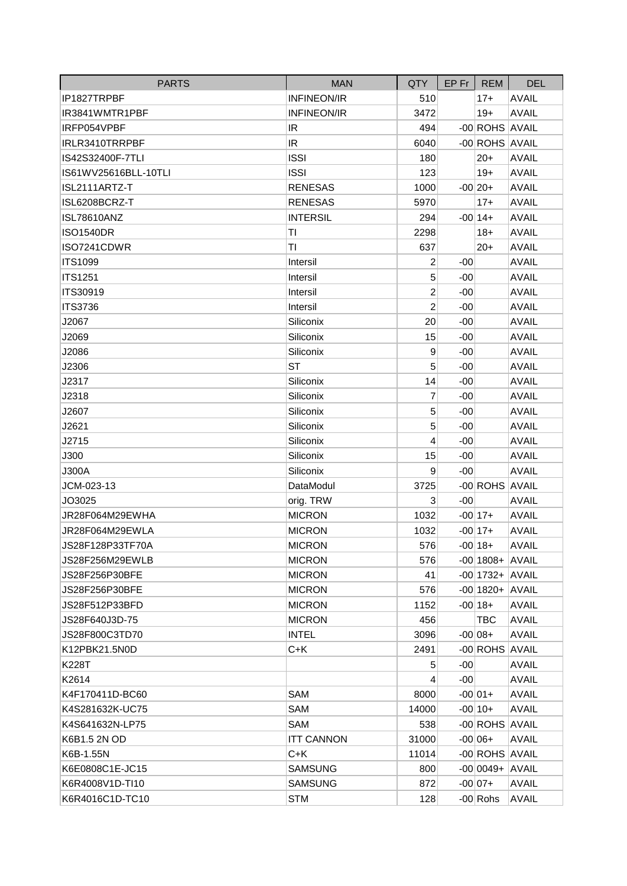| <b>PARTS</b>         | <b>MAN</b>         | <b>QTY</b>     | EP Fr | <b>REM</b>         | <b>DEL</b>   |
|----------------------|--------------------|----------------|-------|--------------------|--------------|
| IP1827TRPBF          | <b>INFINEON/IR</b> | 510            |       | $17+$              | <b>AVAIL</b> |
| IR3841WMTR1PBF       | <b>INFINEON/IR</b> | 3472           |       | $19+$              | <b>AVAIL</b> |
| IRFP054VPBF          | IR                 | 494            |       | -00 ROHS AVAIL     |              |
| IRLR3410TRRPBF       | IR.                | 6040           |       | -00 ROHS AVAIL     |              |
| IS42S32400F-7TLI     | <b>ISSI</b>        | 180            |       | $20+$              | <b>AVAIL</b> |
| IS61WV25616BLL-10TLI | <b>ISSI</b>        | 123            |       | $19+$              | <b>AVAIL</b> |
| ISL2111ARTZ-T        | <b>RENESAS</b>     | 1000           |       | $-00 20+$          | <b>AVAIL</b> |
| ISL6208BCRZ-T        | <b>RENESAS</b>     | 5970           |       | $17+$              | <b>AVAIL</b> |
| <b>ISL78610ANZ</b>   | <b>INTERSIL</b>    | 294            |       | $-00 14+$          | <b>AVAIL</b> |
| <b>ISO1540DR</b>     | TI                 | 2298           |       | $18+$              | <b>AVAIL</b> |
| ISO7241CDWR          | ΤI                 | 637            |       | $20+$              | <b>AVAIL</b> |
| <b>ITS1099</b>       | Intersil           | 2              | $-00$ |                    | <b>AVAIL</b> |
| <b>ITS1251</b>       | Intersil           | 5              | $-00$ |                    | <b>AVAIL</b> |
| <b>ITS30919</b>      | Intersil           | $\overline{c}$ | $-00$ |                    | <b>AVAIL</b> |
| <b>ITS3736</b>       | Intersil           | $\overline{2}$ | $-00$ |                    | <b>AVAIL</b> |
| J2067                | Siliconix          | 20             | $-00$ |                    | <b>AVAIL</b> |
| J2069                | Siliconix          | 15             | $-00$ |                    | <b>AVAIL</b> |
| J2086                | Siliconix          | 9              | $-00$ |                    | <b>AVAIL</b> |
| J2306                | <b>ST</b>          | 5              | $-00$ |                    | <b>AVAIL</b> |
| J2317                | Siliconix          | 14             | $-00$ |                    | <b>AVAIL</b> |
| J2318                | Siliconix          | 7              | $-00$ |                    | <b>AVAIL</b> |
| J2607                | Siliconix          | 5              | $-00$ |                    | <b>AVAIL</b> |
| J2621                | Siliconix          | 5              | $-00$ |                    | <b>AVAIL</b> |
| J2715                | Siliconix          | 4              | $-00$ |                    | <b>AVAIL</b> |
| J300                 | Siliconix          | 15             | $-00$ |                    | <b>AVAIL</b> |
| J300A                | Siliconix          | 9              | $-00$ |                    | <b>AVAIL</b> |
| JCM-023-13           | DataModul          | 3725           |       | -00 ROHS AVAIL     |              |
| JO3025               | orig. TRW          | 3              | $-00$ |                    | <b>AVAIL</b> |
| JR28F064M29EWHA      | <b>MICRON</b>      | 1032           |       | $-00 17+$          | <b>AVAIL</b> |
| JR28F064M29EWLA      | <b>MICRON</b>      | 1032           |       | $-00 17+$          | <b>AVAIL</b> |
| JS28F128P33TF70A     | <b>MICRON</b>      | 576            |       | $-00 18+$          | AVAIL        |
| JS28F256M29EWLB      | <b>MICRON</b>      | 576            |       | $-00$  1808+ AVAIL |              |
| JS28F256P30BFE       | <b>MICRON</b>      | 41             |       | $-00$ 1732+ AVAIL  |              |
| JS28F256P30BFE       | <b>MICRON</b>      | 576            |       | $-00$ 1820 + AVAIL |              |
| JS28F512P33BFD       | <b>MICRON</b>      | 1152           |       | $-00 18+$          | <b>AVAIL</b> |
| JS28F640J3D-75       | <b>MICRON</b>      | 456            |       | <b>TBC</b>         | <b>AVAIL</b> |
| JS28F800C3TD70       | <b>INTEL</b>       | 3096           |       | $-00 08+$          | <b>AVAIL</b> |
| K12PBK21.5N0D        | $C+K$              | 2491           |       | -00 ROHS AVAIL     |              |
| K228T                |                    | 5              | $-00$ |                    | <b>AVAIL</b> |
| K2614                |                    | 4              | $-00$ |                    | <b>AVAIL</b> |
| K4F170411D-BC60      | SAM                | 8000           |       | $-00 01+$          | <b>AVAIL</b> |
| K4S281632K-UC75      | SAM                | 14000          |       | $-00 10+$          | <b>AVAIL</b> |
| K4S641632N-LP75      | SAM                | 538            |       | -00 ROHS AVAIL     |              |
| K6B1.5 2N OD         | <b>ITT CANNON</b>  | 31000          |       | $-00 06+$          | <b>AVAIL</b> |
| K6B-1.55N            | $C+K$              | 11014          |       | -00 ROHS AVAIL     |              |
| K6E0808C1E-JC15      | <b>SAMSUNG</b>     | 800            |       | $-00 0049+ AVAIL$  |              |
| K6R4008V1D-TI10      | <b>SAMSUNG</b>     | 872            |       | $-00 07+$          | <b>AVAIL</b> |
| K6R4016C1D-TC10      | <b>STM</b>         | 128            |       | $-00$ Rohs         | <b>AVAIL</b> |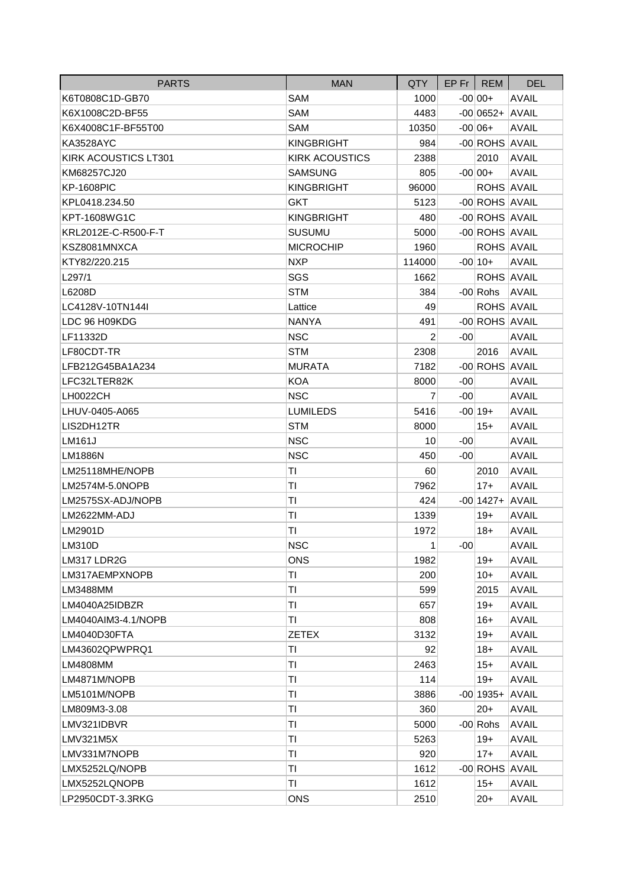| <b>PARTS</b>         | <b>MAN</b>            | <b>QTY</b>     |       | $EP$ Fr   REM       | <b>DEL</b>   |
|----------------------|-----------------------|----------------|-------|---------------------|--------------|
| K6T0808C1D-GB70      | <b>SAM</b>            | 1000           |       | $-00 00+$           | <b>AVAIL</b> |
| K6X1008C2D-BF55      | <b>SAM</b>            | 4483           |       | $-00 0652+ AVAIL $  |              |
| K6X4008C1F-BF55T00   | <b>SAM</b>            | 10350          |       | $-00 06+$           | <b>AVAIL</b> |
| <b>KA3528AYC</b>     | <b>KINGBRIGHT</b>     | 984            |       | -00 ROHS AVAIL      |              |
| KIRK ACOUSTICS LT301 | <b>KIRK ACOUSTICS</b> | 2388           |       | 2010                | <b>AVAIL</b> |
| KM68257CJ20          | <b>SAMSUNG</b>        | 805            |       | $-00 00+$           | <b>AVAIL</b> |
| <b>KP-1608PIC</b>    | <b>KINGBRIGHT</b>     | 96000          |       | <b>ROHS AVAIL</b>   |              |
| KPL0418.234.50       | <b>GKT</b>            | 5123           |       | -00 ROHS AVAIL      |              |
| KPT-1608WG1C         | <b>KINGBRIGHT</b>     | 480            |       | -00 ROHS AVAIL      |              |
| KRL2012E-C-R500-F-T  | <b>SUSUMU</b>         | 5000           |       | -00 ROHS AVAIL      |              |
| KSZ8081MNXCA         | <b>MICROCHIP</b>      | 1960           |       | ROHS AVAIL          |              |
| KTY82/220.215        | <b>NXP</b>            | 114000         |       | $-00 10+$           | <b>AVAIL</b> |
| L297/1               | SGS                   | 1662           |       | ROHS AVAIL          |              |
| L6208D               | <b>STM</b>            | 384            |       | -00 Rohs            | <b>AVAIL</b> |
| LC4128V-10TN144I     | Lattice               | 49             |       | <b>ROHS AVAIL</b>   |              |
| LDC 96 H09KDG        | <b>NANYA</b>          | 491            |       | -00 ROHS AVAIL      |              |
| LF11332D             | <b>NSC</b>            | 2              | $-00$ |                     | <b>AVAIL</b> |
| LF80CDT-TR           | <b>STM</b>            | 2308           |       | 2016                | <b>AVAIL</b> |
| LFB212G45BA1A234     | <b>MURATA</b>         | 7182           |       | -00 ROHS AVAIL      |              |
| LFC32LTER82K         | <b>KOA</b>            | 8000           | $-00$ |                     | <b>AVAIL</b> |
| <b>LH0022CH</b>      | <b>NSC</b>            | $\overline{7}$ | $-00$ |                     | <b>AVAIL</b> |
| LHUV-0405-A065       | <b>LUMILEDS</b>       | 5416           |       | $-00 19+$           | <b>AVAIL</b> |
| LIS2DH12TR           | <b>STM</b>            | 8000           |       | $15+$               | <b>AVAIL</b> |
| <b>LM161J</b>        | <b>NSC</b>            | 10             | $-00$ |                     | <b>AVAIL</b> |
| <b>LM1886N</b>       | <b>NSC</b>            | 450            | $-00$ |                     | <b>AVAIL</b> |
| LM25118MHE/NOPB      | ΤI                    | 60             |       | 2010                | <b>AVAIL</b> |
| LM2574M-5.0NOPB      | ΤI                    | 7962           |       | $17+$               | <b>AVAIL</b> |
| LM2575SX-ADJ/NOPB    | ΤI                    | 424            |       | $-00$  1427+  AVAIL |              |
| LM2622MM-ADJ         | ΤI                    | 1339           |       | $19+$               | <b>AVAIL</b> |
| LM2901D              | ΤI                    | 1972           |       | $18+$               | <b>AVAIL</b> |
| <b>LM310D</b>        | <b>NSC</b>            | 1              | $-00$ |                     | <b>AVAIL</b> |
| LM317 LDR2G          | <b>ONS</b>            | 1982           |       | $19+$               | <b>AVAIL</b> |
| LM317AEMPXNOPB       | ΤI                    | 200            |       | $10+$               | <b>AVAIL</b> |
| LM3488MM             | TI                    | 599            |       | 2015                | <b>AVAIL</b> |
| LM4040A25IDBZR       | ΤI                    | 657            |       | $19+$               | <b>AVAIL</b> |
| LM4040AIM3-4.1/NOPB  | TI                    | 808            |       | $16+$               | <b>AVAIL</b> |
| LM4040D30FTA         | <b>ZETEX</b>          | 3132           |       | $19+$               | <b>AVAIL</b> |
| LM43602QPWPRQ1       | ΤI                    | 92             |       | $18+$               | <b>AVAIL</b> |
| LM4808MM             | ΤI                    | 2463           |       | $15+$               | <b>AVAIL</b> |
| LM4871M/NOPB         | TI                    | 114            |       | $19+$               | <b>AVAIL</b> |
| LM5101M/NOPB         | ΤI                    | 3886           |       | $-00$ 1935+         | <b>AVAIL</b> |
| LM809M3-3.08         | Τl                    | 360            |       | $20+$               | <b>AVAIL</b> |
| LMV321IDBVR          | ΤI                    | 5000           |       | $-00$ Rohs          | <b>AVAIL</b> |
| LMV321M5X            | ΤI                    | 5263           |       | $19+$               | <b>AVAIL</b> |
| LMV331M7NOPB         | TI                    | 920            |       | $17 +$              | <b>AVAIL</b> |
| LMX5252LQ/NOPB       | ΤI                    | 1612           |       | -00 ROHS AVAIL      |              |
| LMX5252LQNOPB        | ΤI                    | 1612           |       | $15+$               | <b>AVAIL</b> |
| LP2950CDT-3.3RKG     | <b>ONS</b>            | 2510           |       | $20+$               | <b>AVAIL</b> |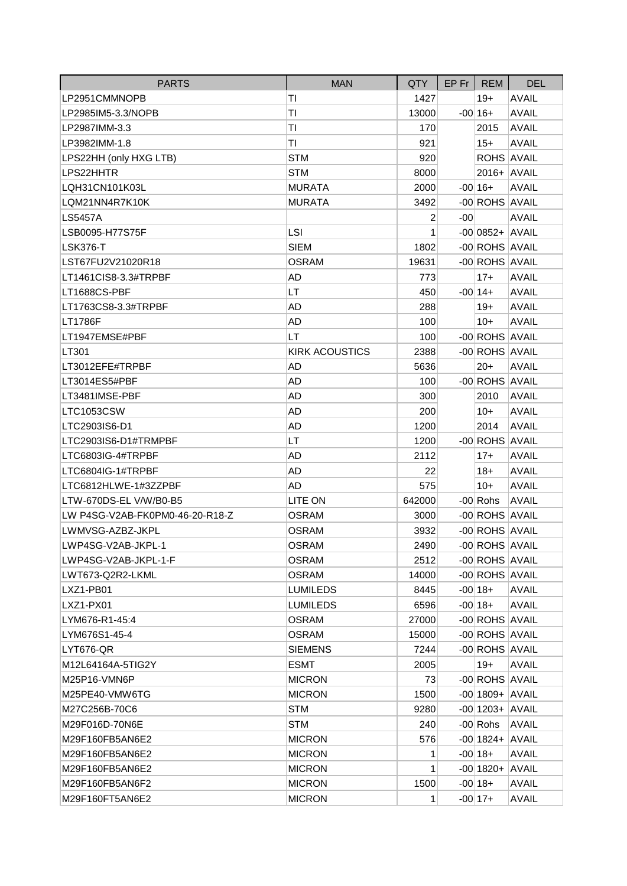| <b>PARTS</b>                    | <b>MAN</b>            | QTY.           | $EP$ Fr $ $ | <b>REM</b>          | <b>DEL</b>   |
|---------------------------------|-----------------------|----------------|-------------|---------------------|--------------|
| LP2951CMMNOPB                   | ΤI                    | 1427           |             | $19+$               | <b>AVAIL</b> |
| LP2985IM5-3.3/NOPB              | TI                    | 13000          |             | $-00 16+$           | <b>AVAIL</b> |
| LP2987IMM-3.3                   | ΤI                    | 170            |             | 2015                | <b>AVAIL</b> |
| LP3982IMM-1.8                   | TI                    | 921            |             | $15+$               | <b>AVAIL</b> |
| LPS22HH (only HXG LTB)          | <b>STM</b>            | 920            |             | <b>ROHS AVAIL</b>   |              |
| LPS22HHTR                       | <b>STM</b>            | 8000           |             | 2016+ AVAIL         |              |
| LQH31CN101K03L                  | <b>MURATA</b>         | 2000           |             | $-00 16+$           | <b>AVAIL</b> |
| LQM21NN4R7K10K                  | <b>MURATA</b>         | 3492           |             | -00 ROHS AVAIL      |              |
| LS5457A                         |                       | $\overline{c}$ | $-00$       |                     | <b>AVAIL</b> |
| LSB0095-H77S75F                 | <b>LSI</b>            | 1              |             | $-00 0852+ AVAIL$   |              |
| LSK376-T                        | <b>SIEM</b>           | 1802           |             | -00 ROHS AVAIL      |              |
| LST67FU2V21020R18               | <b>OSRAM</b>          | 19631          |             | -00 ROHS AVAIL      |              |
| LT1461CIS8-3.3#TRPBF            | AD                    | 773            |             | $17+$               | <b>AVAIL</b> |
| LT1688CS-PBF                    | LT                    | 450            |             | $-00 14+$           | <b>AVAIL</b> |
| LT1763CS8-3.3#TRPBF             | AD                    | 288            |             | $19+$               | <b>AVAIL</b> |
| LT1786F                         | <b>AD</b>             | 100            |             | $10+$               | <b>AVAIL</b> |
| LT1947EMSE#PBF                  | LT                    | 100            |             | -00 ROHS AVAIL      |              |
| LT301                           | <b>KIRK ACOUSTICS</b> | 2388           |             | -00 ROHS AVAIL      |              |
| LT3012EFE#TRPBF                 | AD                    | 5636           |             | $20+$               | <b>AVAIL</b> |
| LT3014ES5#PBF                   | AD                    | 100            |             | -00 ROHS AVAIL      |              |
| LT3481IMSE-PBF                  | AD                    | 300            |             | 2010                | <b>AVAIL</b> |
| <b>LTC1053CSW</b>               | AD                    | 200            |             | $10+$               | <b>AVAIL</b> |
| LTC2903IS6-D1                   | AD                    | 1200           |             | 2014                | <b>AVAIL</b> |
| LTC2903IS6-D1#TRMPBF            | LT                    | 1200           |             | -00 ROHS AVAIL      |              |
| LTC6803IG-4#TRPBF               | AD                    | 2112           |             | $17+$               | <b>AVAIL</b> |
| LTC6804IG-1#TRPBF               | AD                    | 22             |             | $18+$               | <b>AVAIL</b> |
| LTC6812HLWE-1#3ZZPBF            | AD                    | 575            |             | $10+$               | <b>AVAIL</b> |
| LTW-670DS-EL V/W/B0-B5          | LITE ON               | 642000         |             | $-00$ Rohs          | <b>AVAIL</b> |
| LW P4SG-V2AB-FK0PM0-46-20-R18-Z | <b>OSRAM</b>          | 3000           |             | -00 ROHS AVAIL      |              |
| LWMVSG-AZBZ-JKPL                | <b>OSRAM</b>          | 3932           |             | -00 ROHS AVAIL      |              |
| LWP4SG-V2AB-JKPL-1              | <b>OSRAM</b>          | 2490           |             | -00 ROHS AVAIL      |              |
| LWP4SG-V2AB-JKPL-1-F            | OSRAM                 | 2512           |             | -00 ROHS AVAIL      |              |
| LWT673-Q2R2-LKML                | <b>OSRAM</b>          | 14000          |             | -00 ROHS AVAIL      |              |
| LXZ1-PB01                       | LUMILEDS              | 8445           |             | $-00 18+$           | <b>AVAIL</b> |
| LXZ1-PX01                       | <b>LUMILEDS</b>       | 6596           |             | $-00 18+$           | <b>AVAIL</b> |
| LYM676-R1-45:4                  | <b>OSRAM</b>          | 27000          |             | -00 ROHS AVAIL      |              |
| LYM676S1-45-4                   | <b>OSRAM</b>          | 15000          |             | -00 ROHS AVAIL      |              |
| LYT676-QR                       | <b>SIEMENS</b>        | 7244           |             | -00 ROHS AVAIL      |              |
| M12L64164A-5TIG2Y               | <b>ESMT</b>           | 2005           |             | $19+$               | <b>AVAIL</b> |
| M25P16-VMN6P                    | <b>MICRON</b>         | 73             |             | -00 ROHS AVAIL      |              |
| M25PE40-VMW6TG                  | <b>MICRON</b>         | 1500           |             | $-00$  1809+ AVAIL  |              |
| M27C256B-70C6                   | <b>STM</b>            | 9280           |             | $-00$  1203+ AVAIL  |              |
| M29F016D-70N6E                  | <b>STM</b>            | 240            |             | $-00$ Rohs          | <b>AVAIL</b> |
| M29F160FB5AN6E2                 | <b>MICRON</b>         | 576            |             | $-00$  1824+  AVAIL |              |
| M29F160FB5AN6E2                 | <b>MICRON</b>         | 1              |             | $-00 18+$           | <b>AVAIL</b> |
| M29F160FB5AN6E2                 | <b>MICRON</b>         | 1              |             | $-00$ 1820 + AVAIL  |              |
| M29F160FB5AN6F2                 | <b>MICRON</b>         | 1500           |             | $-00 18+$           | <b>AVAIL</b> |
| M29F160FT5AN6E2                 | <b>MICRON</b>         | $\mathbf 1$    |             | $-00 17+$           | <b>AVAIL</b> |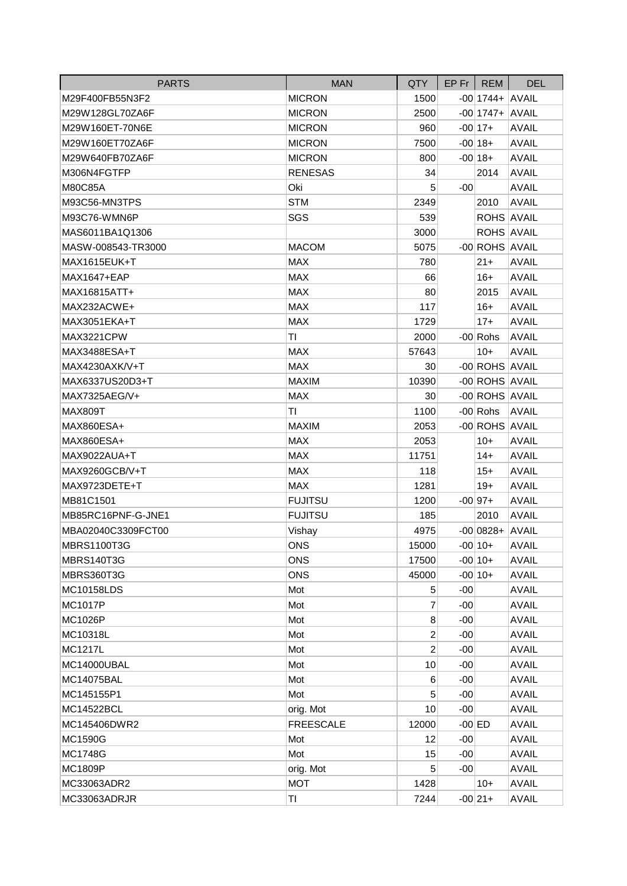| <b>PARTS</b>       | <b>MAN</b>       | QTY            | $EP$ Fr REM |                     | <b>DEL</b>   |
|--------------------|------------------|----------------|-------------|---------------------|--------------|
| M29F400FB55N3F2    | <b>MICRON</b>    | 1500           |             | $-00$  1744+  AVAIL |              |
| M29W128GL70ZA6F    | <b>MICRON</b>    | 2500           |             | $-00$  1747+  AVAIL |              |
| M29W160ET-70N6E    | <b>MICRON</b>    | 960            |             | $-00$ 17+           | <b>AVAIL</b> |
| M29W160ET70ZA6F    | <b>MICRON</b>    | 7500           |             | $-00 18+$           | <b>AVAIL</b> |
| M29W640FB70ZA6F    | <b>MICRON</b>    | 800            |             | $-00 18+$           | <b>AVAIL</b> |
| M306N4FGTFP        | <b>RENESAS</b>   | 34             |             | 2014                | <b>AVAIL</b> |
| M80C85A            | Oki              | 5              | $-00$       |                     | <b>AVAIL</b> |
| M93C56-MN3TPS      | <b>STM</b>       | 2349           |             | 2010                | <b>AVAIL</b> |
| M93C76-WMN6P       | SGS              | 539            |             | ROHS AVAIL          |              |
| MAS6011BA1Q1306    |                  | 3000           |             | ROHS AVAIL          |              |
| MASW-008543-TR3000 | <b>MACOM</b>     | 5075           |             | -00 ROHS AVAIL      |              |
| MAX1615EUK+T       | <b>MAX</b>       | 780            |             | $21 +$              | <b>AVAIL</b> |
| MAX1647+EAP        | <b>MAX</b>       | 66             |             | $16+$               | <b>AVAIL</b> |
| MAX16815ATT+       | <b>MAX</b>       | 80             |             | 2015                | <b>AVAIL</b> |
| MAX232ACWE+        | <b>MAX</b>       | 117            |             | $16+$               | <b>AVAIL</b> |
| MAX3051EKA+T       | <b>MAX</b>       | 1729           |             | $17+$               | <b>AVAIL</b> |
| MAX3221CPW         | TI               | 2000           |             | $-00$ Rohs          | <b>AVAIL</b> |
| MAX3488ESA+T       | <b>MAX</b>       | 57643          |             | $10+$               | <b>AVAIL</b> |
| MAX4230AXK/V+T     | <b>MAX</b>       | 30             |             | -00 ROHS AVAIL      |              |
| MAX6337US20D3+T    | <b>MAXIM</b>     | 10390          |             | -00 ROHS AVAIL      |              |
| MAX7325AEG/V+      | <b>MAX</b>       | 30             |             | -00 ROHS AVAIL      |              |
| MAX809T            | TI               | 1100           |             | $-00$ Rohs          | <b>AVAIL</b> |
| MAX860ESA+         | <b>MAXIM</b>     | 2053           |             | -00 ROHS AVAIL      |              |
| MAX860ESA+         | <b>MAX</b>       | 2053           |             | $10+$               | <b>AVAIL</b> |
| MAX9022AUA+T       | <b>MAX</b>       | 11751          |             | $14+$               | <b>AVAIL</b> |
| MAX9260GCB/V+T     | <b>MAX</b>       | 118            |             | $15+$               | <b>AVAIL</b> |
| MAX9723DETE+T      | <b>MAX</b>       | 1281           |             | $19+$               | <b>AVAIL</b> |
| MB81C1501          | <b>FUJITSU</b>   | 1200           |             | $-00 97+$           | <b>AVAIL</b> |
| MB85RC16PNF-G-JNE1 | <b>FUJITSU</b>   | 185            |             | 2010                | <b>AVAIL</b> |
| MBA02040C3309FCT00 | Vishay           | 4975           |             | $-00 0828+ AVAIL$   |              |
| <b>MBRS1100T3G</b> | <b>ONS</b>       | 15000          |             | $-00 10+$           | <b>AVAIL</b> |
| MBRS140T3G         | <b>ONS</b>       | 17500          |             | $-00 10+$           | <b>AVAIL</b> |
| MBRS360T3G         | <b>ONS</b>       | 45000          |             | $-00 10+$           | <b>AVAIL</b> |
| <b>MC10158LDS</b>  | Mot              | 5              | $-00$       |                     | <b>AVAIL</b> |
| <b>MC1017P</b>     | Mot              | 7              | $-00$       |                     | <b>AVAIL</b> |
| MC1026P            | Mot              | 8              | $-00$       |                     | <b>AVAIL</b> |
| MC10318L           | Mot              | $\overline{2}$ | $-00$       |                     | <b>AVAIL</b> |
| MC1217L            | Mot              | $\overline{2}$ | $-00$       |                     | <b>AVAIL</b> |
| MC14000UBAL        | Mot              | 10             | $-00$       |                     | <b>AVAIL</b> |
| <b>MC14075BAL</b>  | Mot              | 6              | $-00$       |                     | <b>AVAIL</b> |
| MC145155P1         | Mot              | 5              | $-00$       |                     | <b>AVAIL</b> |
| <b>MC14522BCL</b>  | orig. Mot        | 10             | $-00$       |                     | <b>AVAIL</b> |
| MC145406DWR2       | <b>FREESCALE</b> | 12000          | $-00$ ED    |                     | <b>AVAIL</b> |
| MC1590G            | Mot              | 12             | $-00$       |                     | <b>AVAIL</b> |
| MC1748G            | Mot              | 15             | $-00$       |                     | <b>AVAIL</b> |
| MC1809P            | orig. Mot        | 5              | $-00$       |                     | <b>AVAIL</b> |
| MC33063ADR2        | <b>MOT</b>       | 1428           |             | $10+$               | <b>AVAIL</b> |
| MC33063ADRJR       | TI               | 7244           |             | $-00 21+$           | <b>AVAIL</b> |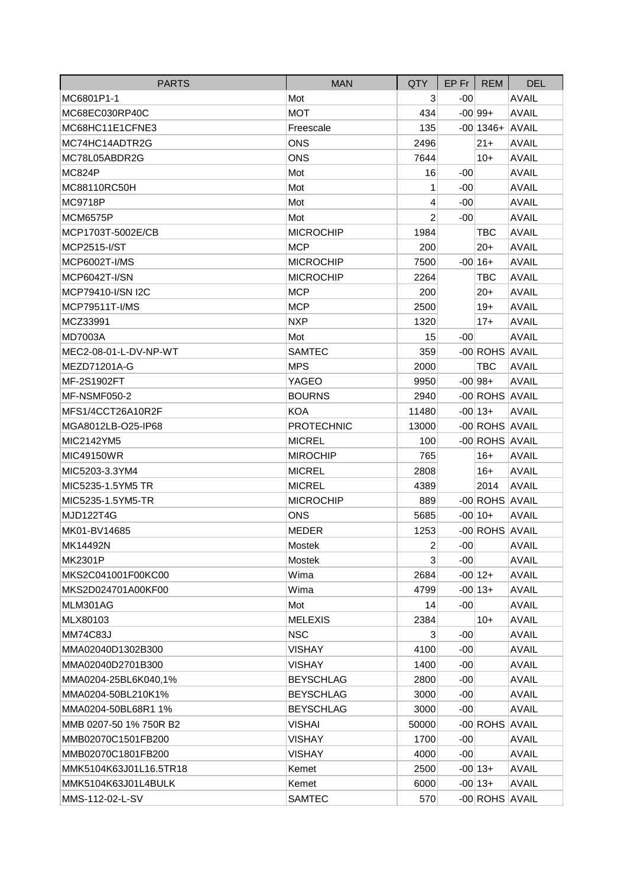| <b>PARTS</b>           | <b>MAN</b>        | QTY            | $EP$ Fr $ $ | <b>REM</b>         | <b>DEL</b>   |
|------------------------|-------------------|----------------|-------------|--------------------|--------------|
| MC6801P1-1             | Mot               | 3              | $-00$       |                    | <b>AVAIL</b> |
| MC68EC030RP40C         | <b>MOT</b>        | 434            |             | $-00 99+$          | <b>AVAIL</b> |
| MC68HC11E1CFNE3        | Freescale         | 135            |             | $-00$  1346+ AVAIL |              |
| MC74HC14ADTR2G         | <b>ONS</b>        | 2496           |             | $21 +$             | <b>AVAIL</b> |
| MC78L05ABDR2G          | <b>ONS</b>        | 7644           |             | $10+$              | <b>AVAIL</b> |
| <b>MC824P</b>          | Mot               | 16             | $-00$       |                    | <b>AVAIL</b> |
| MC88110RC50H           | Mot               | 1              | $-00$       |                    | <b>AVAIL</b> |
| <b>MC9718P</b>         | Mot               | 4              | $-00$       |                    | <b>AVAIL</b> |
| <b>MCM6575P</b>        | Mot               | $\overline{2}$ | $-00$       |                    | <b>AVAIL</b> |
| MCP1703T-5002E/CB      | <b>MICROCHIP</b>  | 1984           |             | <b>TBC</b>         | <b>AVAIL</b> |
| MCP2515-I/ST           | <b>MCP</b>        | 200            |             | $20+$              | <b>AVAIL</b> |
| MCP6002T-I/MS          | <b>MICROCHIP</b>  | 7500           |             | $-00 16+$          | <b>AVAIL</b> |
| MCP6042T-I/SN          | <b>MICROCHIP</b>  | 2264           |             | TBC                | <b>AVAIL</b> |
| MCP79410-I/SN I2C      | <b>MCP</b>        | 200            |             | $20+$              | <b>AVAIL</b> |
| <b>MCP79511T-I/MS</b>  | <b>MCP</b>        | 2500           |             | $19+$              | <b>AVAIL</b> |
| MCZ33991               | <b>NXP</b>        | 1320           |             | $17+$              | <b>AVAIL</b> |
| <b>MD7003A</b>         | Mot               | 15             | -00         |                    | <b>AVAIL</b> |
| MEC2-08-01-L-DV-NP-WT  | <b>SAMTEC</b>     | 359            |             | -00 ROHS AVAIL     |              |
| MEZD71201A-G           | <b>MPS</b>        | 2000           |             | <b>TBC</b>         | <b>AVAIL</b> |
| MF-2S1902FT            | YAGEO             | 9950           |             | $-00 98+$          | <b>AVAIL</b> |
| MF-NSMF050-2           | <b>BOURNS</b>     | 2940           |             | -00 ROHS AVAIL     |              |
| MFS1/4CCT26A10R2F      | <b>KOA</b>        | 11480          |             | $-00 13+$          | <b>AVAIL</b> |
| MGA8012LB-O25-IP68     | <b>PROTECHNIC</b> | 13000          |             | -00 ROHS AVAIL     |              |
| MIC2142YM5             | <b>MICREL</b>     | 100            |             | -00 ROHS AVAIL     |              |
| <b>MIC49150WR</b>      | <b>MIROCHIP</b>   | 765            |             | $16+$              | <b>AVAIL</b> |
| MIC5203-3.3YM4         | <b>MICREL</b>     | 2808           |             | $16+$              | <b>AVAIL</b> |
| MIC5235-1.5YM5 TR      | <b>MICREL</b>     | 4389           |             | 2014               | <b>AVAIL</b> |
| MIC5235-1.5YM5-TR      | <b>MICROCHIP</b>  | 889            |             | -00 ROHS AVAIL     |              |
| <b>MJD122T4G</b>       | ONS               | 5685           |             | $-00 10+$          | <b>AVAIL</b> |
| MK01-BV14685           | <b>MEDER</b>      | 1253           |             | -00 ROHS AVAIL     |              |
| MK14492N               | Mostek            | $\overline{c}$ | $-00$       |                    | AVAIL        |
| MK2301P                | Mostek            | 3              | $-00$       |                    | <b>AVAIL</b> |
| MKS2C041001F00KC00     | Wima              | 2684           |             | $-00 12+$          | <b>AVAIL</b> |
| MKS2D024701A00KF00     | Wima              | 4799           |             | $-00 13+$          | <b>AVAIL</b> |
| MLM301AG               | Mot               | 14             | $-00$       |                    | <b>AVAIL</b> |
| MLX80103               | <b>MELEXIS</b>    | 2384           |             | $10+$              | <b>AVAIL</b> |
| <b>MM74C83J</b>        | <b>NSC</b>        | $\mathbf{3}$   | -00         |                    | <b>AVAIL</b> |
| MMA02040D1302B300      | <b>VISHAY</b>     | 4100           | $-00$       |                    | <b>AVAIL</b> |
| MMA02040D2701B300      | <b>VISHAY</b>     | 1400           | $-00$       |                    | <b>AVAIL</b> |
| MMA0204-25BL6K040,1%   | <b>BEYSCHLAG</b>  | 2800           | $-00$       |                    | <b>AVAIL</b> |
| MMA0204-50BL210K1%     | <b>BEYSCHLAG</b>  | 3000           | $-00$       |                    | <b>AVAIL</b> |
| MMA0204-50BL68R1 1%    | <b>BEYSCHLAG</b>  | 3000           | $-00$       |                    | <b>AVAIL</b> |
| MMB 0207-50 1% 750R B2 | <b>VISHAI</b>     | 50000          |             | -00 ROHS AVAIL     |              |
| MMB02070C1501FB200     | VISHAY            | 1700           | $-00$       |                    | <b>AVAIL</b> |
| MMB02070C1801FB200     | <b>VISHAY</b>     | 4000           | $-00$       |                    | <b>AVAIL</b> |
| MMK5104K63J01L16.5TR18 | Kemet             | 2500           |             | $-00 13+$          | <b>AVAIL</b> |
| MMK5104K63J01L4BULK    | Kemet             | 6000           |             | $-00 13+$          | <b>AVAIL</b> |
| MMS-112-02-L-SV        | <b>SAMTEC</b>     | 570            |             | -00 ROHS AVAIL     |              |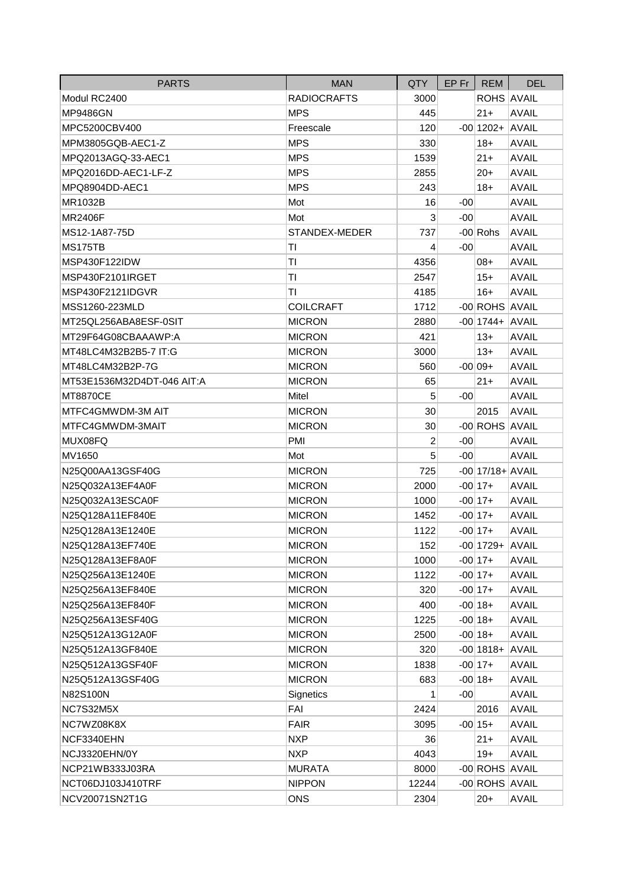| <b>PARTS</b>               | <b>MAN</b>         | QTY            | $EP$ Fr $ $ | <b>REM</b>          | <b>DEL</b>   |
|----------------------------|--------------------|----------------|-------------|---------------------|--------------|
| Modul RC2400               | <b>RADIOCRAFTS</b> | 3000           |             | ROHS AVAIL          |              |
| <b>MP9486GN</b>            | <b>MPS</b>         | 445            |             | $21 +$              | <b>AVAIL</b> |
| MPC5200CBV400              | Freescale          | 120            |             | $-00$  1202+  AVAIL |              |
| MPM3805GQB-AEC1-Z          | <b>MPS</b>         | 330            |             | $18+$               | <b>AVAIL</b> |
| MPQ2013AGQ-33-AEC1         | <b>MPS</b>         | 1539           |             | $21 +$              | <b>AVAIL</b> |
| MPQ2016DD-AEC1-LF-Z        | <b>MPS</b>         | 2855           |             | $20+$               | <b>AVAIL</b> |
| MPQ8904DD-AEC1             | <b>MPS</b>         | 243            |             | $18+$               | <b>AVAIL</b> |
| MR1032B                    | Mot                | 16             | $-00$       |                     | <b>AVAIL</b> |
| <b>MR2406F</b>             | Mot                | 3              | $-00$       |                     | <b>AVAIL</b> |
| MS12-1A87-75D              | STANDEX-MEDER      | 737            |             | $-00$ Rohs          | <b>AVAIL</b> |
| MS175TB                    | ΤI                 | 4              | $-00$       |                     | <b>AVAIL</b> |
| MSP430F122IDW              | TI                 | 4356           |             | 08+                 | <b>AVAIL</b> |
| MSP430F2101IRGET           | ΤI                 | 2547           |             | $15+$               | <b>AVAIL</b> |
| MSP430F2121IDGVR           | ΤI                 | 4185           |             | $16+$               | <b>AVAIL</b> |
| MSS1260-223MLD             | <b>COILCRAFT</b>   | 1712           |             | -00 ROHS AVAIL      |              |
| MT25QL256ABA8ESF-0SIT      | <b>MICRON</b>      | 2880           |             | $-00$  1744+ AVAIL  |              |
| MT29F64G08CBAAAWP:A        | <b>MICRON</b>      | 421            |             | $13+$               | <b>AVAIL</b> |
| MT48LC4M32B2B5-7 IT:G      | <b>MICRON</b>      | 3000           |             | $13+$               | <b>AVAIL</b> |
| MT48LC4M32B2P-7G           | <b>MICRON</b>      | 560            |             | $-00 09+$           | <b>AVAIL</b> |
| MT53E1536M32D4DT-046 AIT:A | <b>MICRON</b>      | 65             |             | $21 +$              | <b>AVAIL</b> |
| <b>MT8870CE</b>            | Mitel              | 5              | $-00$       |                     | <b>AVAIL</b> |
| MTFC4GMWDM-3M AIT          | <b>MICRON</b>      | 30             |             | 2015                | <b>AVAIL</b> |
| MTFC4GMWDM-3MAIT           | <b>MICRON</b>      | 30             |             | -00 ROHS AVAIL      |              |
| MUX08FQ                    | PMI                | $\overline{2}$ | $-00$       |                     | <b>AVAIL</b> |
| MV1650                     | Mot                | 5              | -00         |                     | <b>AVAIL</b> |
| N25Q00AA13GSF40G           | <b>MICRON</b>      | 725            |             | $-00$ 17/18+ AVAIL  |              |
| N25Q032A13EF4A0F           | <b>MICRON</b>      | 2000           |             | $-00$ 17+           | <b>AVAIL</b> |
| N25Q032A13ESCA0F           | <b>MICRON</b>      | 1000           |             | $-00 17+$           | <b>AVAIL</b> |
| N25Q128A11EF840E           | <b>MICRON</b>      | 1452           |             | $-00 17+$           | <b>AVAIL</b> |
| N25Q128A13E1240E           | <b>MICRON</b>      | 1122           |             | $-00 17+$           | <b>AVAIL</b> |
| N25Q128A13EF740E           | <b>MICRON</b>      | 152            |             | $-00$  1729+ AVAIL  |              |
| N25Q128A13EF8A0F           | <b>MICRON</b>      | 1000           |             | $-00 17+$           | <b>AVAIL</b> |
| N25Q256A13E1240E           | <b>MICRON</b>      | 1122           |             | $-00$ 17+           | <b>AVAIL</b> |
| N25Q256A13EF840E           | <b>MICRON</b>      | 320            |             | $-00 17+$           | <b>AVAIL</b> |
| N25Q256A13EF840F           | <b>MICRON</b>      | 400            |             | $-00 18+$           | <b>AVAIL</b> |
| N25Q256A13ESF40G           | <b>MICRON</b>      | 1225           |             | $-00 18+$           | <b>AVAIL</b> |
| N25Q512A13G12A0F           | <b>MICRON</b>      | 2500           |             | $-00 18+$           | <b>AVAIL</b> |
| N25Q512A13GF840E           | <b>MICRON</b>      | 320            |             | $-00 1818+$         | <b>AVAIL</b> |
| N25Q512A13GSF40F           | <b>MICRON</b>      | 1838           |             | $-00$ 17+           | <b>AVAIL</b> |
| N25Q512A13GSF40G           | <b>MICRON</b>      | 683            |             | $-00 18+$           | <b>AVAIL</b> |
| N82S100N                   | Signetics          | 1              | $-00$       |                     | <b>AVAIL</b> |
| NC7S32M5X                  | FAI                | 2424           |             | 2016                | <b>AVAIL</b> |
| NC7WZ08K8X                 | <b>FAIR</b>        | 3095           |             | $-00 15+$           | <b>AVAIL</b> |
| NCF3340EHN                 | <b>NXP</b>         | 36             |             | $21 +$              | <b>AVAIL</b> |
| NCJ3320EHN/0Y              | <b>NXP</b>         | 4043           |             | $19+$               | <b>AVAIL</b> |
| NCP21WB333J03RA            | <b>MURATA</b>      | 8000           |             | -00 ROHS AVAIL      |              |
| NCT06DJ103J410TRF          | <b>NIPPON</b>      | 12244          |             | -00 ROHS AVAIL      |              |
| NCV20071SN2T1G             | <b>ONS</b>         | 2304           |             | $20+$               | <b>AVAIL</b> |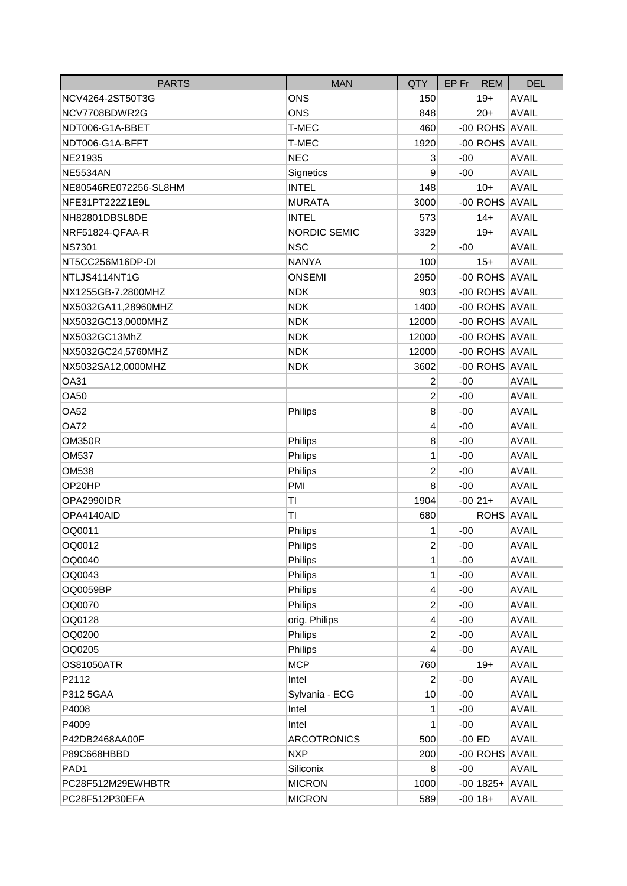| <b>PARTS</b>          | <b>MAN</b>          | QTY            | EP Fr    | <b>REM</b>     | <b>DEL</b>   |
|-----------------------|---------------------|----------------|----------|----------------|--------------|
| NCV4264-2ST50T3G      | <b>ONS</b>          | 150            |          | $19+$          | <b>AVAIL</b> |
| NCV7708BDWR2G         | <b>ONS</b>          | 848            |          | $20+$          | <b>AVAIL</b> |
| NDT006-G1A-BBET       | T-MEC               | 460            |          | -00 ROHS AVAIL |              |
| NDT006-G1A-BFFT       | T-MEC               | 1920           |          | -00 ROHS AVAIL |              |
| NE21935               | <b>NEC</b>          | 3              | $-00$    |                | <b>AVAIL</b> |
| <b>NE5534AN</b>       | Signetics           | 9              | $-00$    |                | <b>AVAIL</b> |
| NE80546RE072256-SL8HM | <b>INTEL</b>        | 148            |          | $10+$          | <b>AVAIL</b> |
| NFE31PT222Z1E9L       | <b>MURATA</b>       | 3000           |          | -00 ROHS AVAIL |              |
| NH82801DBSL8DE        | <b>INTEL</b>        | 573            |          | $14+$          | <b>AVAIL</b> |
| NRF51824-QFAA-R       | <b>NORDIC SEMIC</b> | 3329           |          | $19+$          | <b>AVAIL</b> |
| <b>NS7301</b>         | <b>NSC</b>          | $\overline{2}$ | $-00$    |                | <b>AVAIL</b> |
| NT5CC256M16DP-DI      | <b>NANYA</b>        | 100            |          | $15+$          | <b>AVAIL</b> |
| NTLJS4114NT1G         | <b>ONSEMI</b>       | 2950           |          | -00 ROHS AVAIL |              |
| NX1255GB-7.2800MHZ    | <b>NDK</b>          | 903            |          | -00 ROHS AVAIL |              |
| NX5032GA11,28960MHZ   | <b>NDK</b>          | 1400           |          | -00 ROHS AVAIL |              |
| NX5032GC13,0000MHZ    | <b>NDK</b>          | 12000          |          | -00 ROHS AVAIL |              |
| NX5032GC13MhZ         | <b>NDK</b>          | 12000          |          | -00 ROHS AVAIL |              |
| NX5032GC24,5760MHZ    | <b>NDK</b>          | 12000          |          | -00 ROHS AVAIL |              |
| NX5032SA12,0000MHZ    | <b>NDK</b>          | 3602           |          | -00 ROHS AVAIL |              |
| <b>OA31</b>           |                     | 2              | $-00$    |                | <b>AVAIL</b> |
| <b>OA50</b>           |                     | $\overline{2}$ | $-00$    |                | <b>AVAIL</b> |
| <b>OA52</b>           | Philips             | 8              | $-00$    |                | <b>AVAIL</b> |
| <b>OA72</b>           |                     | 4              | $-00$    |                | <b>AVAIL</b> |
| <b>OM350R</b>         | Philips             | 8              | $-00$    |                | <b>AVAIL</b> |
| <b>OM537</b>          | Philips             | 1              | $-00$    |                | <b>AVAIL</b> |
| OM538                 | Philips             | $\overline{2}$ | $-00$    |                | <b>AVAIL</b> |
| OP20HP                | PMI                 | 8              | $-00$    |                | <b>AVAIL</b> |
| OPA2990IDR            | TI                  | 1904           |          | $-00 21+$      | <b>AVAIL</b> |
| OPA4140AID            | ΤI                  | 680            |          | ROHS AVAIL     |              |
| OQ0011                | Philips             | 1              | $-00$    |                | <b>AVAIL</b> |
| OQ0012                | Philips             | 2              | $-00$    |                | <b>AVAIL</b> |
| OQ0040                | Philips             | 1              | $-00$    |                | <b>AVAIL</b> |
| OQ0043                | Philips             | 1              | $-00$    |                | <b>AVAIL</b> |
| OQ0059BP              | Philips             | 4              | $-00$    |                | <b>AVAIL</b> |
| OQ0070                | Philips             | $\overline{c}$ | $-00$    |                | <b>AVAIL</b> |
| OQ0128                | orig. Philips       | 4              | -00      |                | <b>AVAIL</b> |
| OQ0200                | Philips             | $\overline{2}$ | $-00$    |                | <b>AVAIL</b> |
| OQ0205                | Philips             | 4              | $-00$    |                | <b>AVAIL</b> |
| <b>OS81050ATR</b>     | <b>MCP</b>          | 760            |          | $19+$          | <b>AVAIL</b> |
| P2112                 | Intel               | $\overline{2}$ | $-00$    |                | <b>AVAIL</b> |
| P312 5GAA             | Sylvania - ECG      | 10             | $-00$    |                | <b>AVAIL</b> |
| P4008                 | Intel               | 1              | $-00$    |                | <b>AVAIL</b> |
| P4009                 | Intel               | 1              | $-00$    |                | <b>AVAIL</b> |
| P42DB2468AA00F        | <b>ARCOTRONICS</b>  | 500            | $-00$ ED |                | <b>AVAIL</b> |
| P89C668HBBD           | <b>NXP</b>          | 200            |          | -00 ROHS AVAIL |              |
| PAD <sub>1</sub>      | Siliconix           | 8              | $-00$    |                | <b>AVAIL</b> |
| PC28F512M29EWHBTR     | <b>MICRON</b>       | 1000           |          | $-00 1825+$    | <b>AVAIL</b> |
| PC28F512P30EFA        | <b>MICRON</b>       | 589            |          | $-00 18+$      | <b>AVAIL</b> |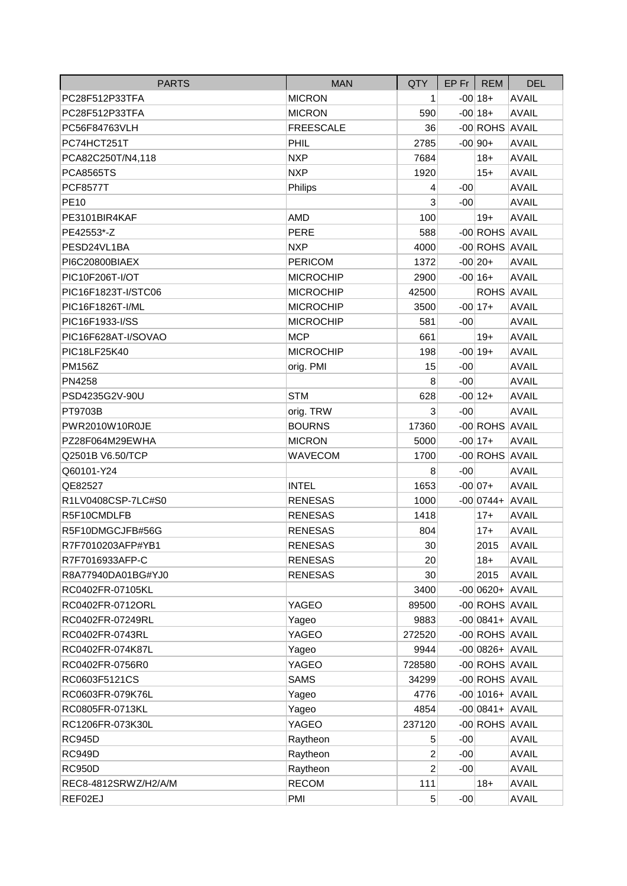| <b>PARTS</b>         | <b>MAN</b>       | QTY            |       | $EP$ Fr   REM        | <b>DEL</b>   |
|----------------------|------------------|----------------|-------|----------------------|--------------|
| PC28F512P33TFA       | <b>MICRON</b>    | 1              |       | $-00 18+$            | <b>AVAIL</b> |
| PC28F512P33TFA       | <b>MICRON</b>    | 590            |       | $-00 18+$            | <b>AVAIL</b> |
| PC56F84763VLH        | <b>FREESCALE</b> | 36             |       | -00 ROHS AVAIL       |              |
| PC74HCT251T          | PHIL             | 2785           |       | $-00 90+$            | <b>AVAIL</b> |
| PCA82C250T/N4,118    | <b>NXP</b>       | 7684           |       | $18+$                | <b>AVAIL</b> |
| <b>PCA8565TS</b>     | <b>NXP</b>       | 1920           |       | $15+$                | <b>AVAIL</b> |
| <b>PCF8577T</b>      | Philips          | 4              | $-00$ |                      | <b>AVAIL</b> |
| <b>PE10</b>          |                  | 3              | $-00$ |                      | <b>AVAIL</b> |
| PE3101BIR4KAF        | <b>AMD</b>       | 100            |       | $19+$                | <b>AVAIL</b> |
| PE42553*-Z           | <b>PERE</b>      | 588            |       | -00 ROHS AVAIL       |              |
| PESD24VL1BA          | <b>NXP</b>       | 4000           |       | -00 ROHS AVAIL       |              |
| PI6C20800BIAEX       | <b>PERICOM</b>   | 1372           |       | $-00 20+$            | <b>AVAIL</b> |
| PIC10F206T-I/OT      | <b>MICROCHIP</b> | 2900           |       | $-00 16+$            | <b>AVAIL</b> |
| PIC16F1823T-I/STC06  | <b>MICROCHIP</b> | 42500          |       | ROHS AVAIL           |              |
| PIC16F1826T-I/ML     | <b>MICROCHIP</b> | 3500           |       | $-00 17+$            | <b>AVAIL</b> |
| PIC16F1933-I/SS      | <b>MICROCHIP</b> | 581            | $-00$ |                      | <b>AVAIL</b> |
| PIC16F628AT-I/SOVAO  | <b>MCP</b>       | 661            |       | $19+$                | <b>AVAIL</b> |
| PIC18LF25K40         | <b>MICROCHIP</b> | 198            |       | $-00 19+$            | <b>AVAIL</b> |
| <b>PM156Z</b>        | orig. PMI        | 15             | $-00$ |                      | <b>AVAIL</b> |
| PN4258               |                  | 8              | $-00$ |                      | <b>AVAIL</b> |
| PSD4235G2V-90U       | <b>STM</b>       | 628            |       | $-00 12+$            | <b>AVAIL</b> |
| PT9703B              | orig. TRW        | 3              | $-00$ |                      | <b>AVAIL</b> |
| PWR2010W10R0JE       | <b>BOURNS</b>    | 17360          |       | -00 ROHS AVAIL       |              |
| PZ28F064M29EWHA      | <b>MICRON</b>    | 5000           |       | $-00 17+$            | <b>AVAIL</b> |
| Q2501B V6.50/TCP     | <b>WAVECOM</b>   | 1700           |       | -00 ROHS AVAIL       |              |
| Q60101-Y24           |                  | 8              | $-00$ |                      | <b>AVAIL</b> |
| QE82527              | <b>INTEL</b>     | 1653           |       | $-00 07+$            | <b>AVAIL</b> |
| R1LV0408CSP-7LC#S0   | <b>RENESAS</b>   | 1000           |       | $-00 0744 +  AVAIL $ |              |
| R5F10CMDLFB          | <b>RENESAS</b>   | 1418           |       | $17+$                | <b>AVAIL</b> |
| R5F10DMGCJFB#56G     | <b>RENESAS</b>   | 804            |       | $17+$                | <b>AVAIL</b> |
| R7F7010203AFP#YB1    | <b>RENESAS</b>   | $30\,$         |       | 2015                 | <b>AVAIL</b> |
| R7F7016933AFP-C      | <b>RENESAS</b>   | 20             |       | $18+$                | <b>AVAIL</b> |
| R8A77940DA01BG#YJ0   | <b>RENESAS</b>   | 30             |       | 2015                 | <b>AVAIL</b> |
| RC0402FR-07105KL     |                  | 3400           |       | $-00 0620+ AVAIL $   |              |
| RC0402FR-0712ORL     | YAGEO            | 89500          |       | -00 ROHS AVAIL       |              |
| RC0402FR-07249RL     | Yageo            | 9883           |       | $-00 0841 +  AVAIL$  |              |
| RC0402FR-0743RL      | YAGEO            | 272520         |       | -00 ROHS AVAIL       |              |
| RC0402FR-074K87L     | Yageo            | 9944           |       | $-00 0826+ AVAIL $   |              |
| RC0402FR-0756R0      | YAGEO            | 728580         |       | -00 ROHS AVAIL       |              |
| RC0603F5121CS        | <b>SAMS</b>      | 34299          |       | -00 ROHS AVAIL       |              |
| RC0603FR-079K76L     | Yageo            | 4776           |       | $-00$ 1016+ AVAIL    |              |
| RC0805FR-0713KL      | Yageo            | 4854           |       | $-00 0841 +  AVAIL$  |              |
| RC1206FR-073K30L     | YAGEO            | 237120         |       | -00 ROHS AVAIL       |              |
| <b>RC945D</b>        | Raytheon         | 5              | $-00$ |                      | <b>AVAIL</b> |
| <b>RC949D</b>        | Raytheon         | 2              | $-00$ |                      | <b>AVAIL</b> |
| <b>RC950D</b>        | Raytheon         | $\overline{2}$ | $-00$ |                      | <b>AVAIL</b> |
| REC8-4812SRWZ/H2/A/M | <b>RECOM</b>     | 111            |       | $18+$                | <b>AVAIL</b> |
| REF02EJ              | PMI              | 5              | $-00$ |                      | <b>AVAIL</b> |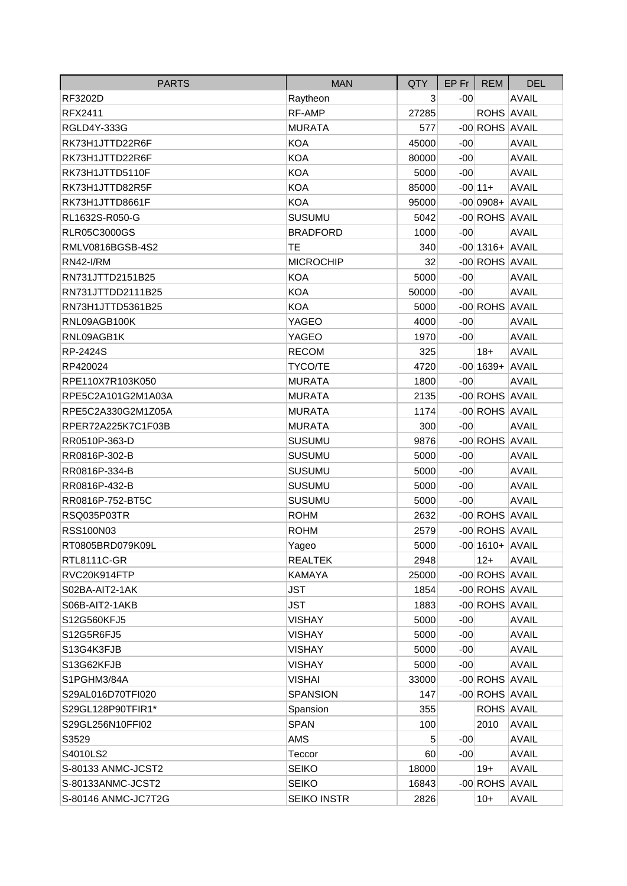| <b>PARTS</b>        | <b>MAN</b>         | <b>QTY</b> | $EP$ Fr $\parallel$ | <b>REM</b>         | <b>DEL</b>   |
|---------------------|--------------------|------------|---------------------|--------------------|--------------|
| RF3202D             | Raytheon           | 3          | $-00$               |                    | <b>AVAIL</b> |
| <b>RFX2411</b>      | RF-AMP             | 27285      |                     | ROHS AVAIL         |              |
| RGLD4Y-333G         | <b>MURATA</b>      | 577        |                     | -00 ROHS AVAIL     |              |
| RK73H1JTTD22R6F     | <b>KOA</b>         | 45000      | $-00$               |                    | <b>AVAIL</b> |
| RK73H1JTTD22R6F     | <b>KOA</b>         | 80000      | $-00$               |                    | <b>AVAIL</b> |
| RK73H1JTTD5110F     | <b>KOA</b>         | 5000       | $-00$               |                    | <b>AVAIL</b> |
| RK73H1JTTD82R5F     | <b>KOA</b>         | 85000      |                     | $-00 11+$          | <b>AVAIL</b> |
| RK73H1JTTD8661F     | <b>KOA</b>         | 95000      |                     | $-00 0908+ AVAIL$  |              |
| RL1632S-R050-G      | <b>SUSUMU</b>      | 5042       |                     | -00 ROHS AVAIL     |              |
| <b>RLR05C3000GS</b> | <b>BRADFORD</b>    | 1000       | $-00$               |                    | <b>AVAIL</b> |
| RMLV0816BGSB-4S2    | ТE                 | 340        |                     | $-00$ 1316+ AVAIL  |              |
| <b>RN42-I/RM</b>    | <b>MICROCHIP</b>   | 32         |                     | -00 ROHS AVAIL     |              |
| RN731JTTD2151B25    | <b>KOA</b>         | 5000       | $-00$               |                    | <b>AVAIL</b> |
| RN731JTTDD2111B25   | <b>KOA</b>         | 50000      | $-00$               |                    | <b>AVAIL</b> |
| RN73H1JTTD5361B25   | <b>KOA</b>         | 5000       |                     | -00 ROHS AVAIL     |              |
| RNL09AGB100K        | YAGEO              | 4000       | $-00$               |                    | <b>AVAIL</b> |
| RNL09AGB1K          | YAGEO              | 1970       | $-00$               |                    | <b>AVAIL</b> |
| RP-2424S            | <b>RECOM</b>       | 325        |                     | $18+$              | <b>AVAIL</b> |
| RP420024            | TYCO/TE            | 4720       |                     | $-00$ 1639+ AVAIL  |              |
| RPE110X7R103K050    | <b>MURATA</b>      | 1800       | $-00$               |                    | <b>AVAIL</b> |
| RPE5C2A101G2M1A03A  | <b>MURATA</b>      | 2135       |                     | -00 ROHS AVAIL     |              |
| RPE5C2A330G2M1Z05A  | <b>MURATA</b>      | 1174       |                     | -00 ROHS AVAIL     |              |
| RPER72A225K7C1F03B  | <b>MURATA</b>      | 300        | $-00$               |                    | <b>AVAIL</b> |
| RR0510P-363-D       | <b>SUSUMU</b>      | 9876       |                     | -00 ROHS AVAIL     |              |
| RR0816P-302-B       | <b>SUSUMU</b>      | 5000       | $-00$               |                    | <b>AVAIL</b> |
| RR0816P-334-B       | <b>SUSUMU</b>      | 5000       | $-00$               |                    | <b>AVAIL</b> |
| RR0816P-432-B       | <b>SUSUMU</b>      | 5000       | $-00$               |                    | <b>AVAIL</b> |
| RR0816P-752-BT5C    | <b>SUSUMU</b>      | 5000       | $-00$               |                    | <b>AVAIL</b> |
| RSQ035P03TR         | <b>ROHM</b>        | 2632       |                     | -00 ROHS AVAIL     |              |
| RSS100N03           | <b>ROHM</b>        | 2579       |                     | -00 ROHS AVAIL     |              |
| RT0805BRD079K09L    | Yageo              | 5000       |                     | $-00$  1610+ AVAIL |              |
| RTL8111C-GR         | <b>REALTEK</b>     | 2948       |                     | $12+$              | <b>AVAIL</b> |
| RVC20K914FTP        | KAMAYA             | 25000      |                     | -00 ROHS AVAIL     |              |
| S02BA-AIT2-1AK      | <b>JST</b>         | 1854       |                     | -00 ROHS AVAIL     |              |
| S06B-AIT2-1AKB      | <b>JST</b>         | 1883       |                     | -00 ROHS AVAIL     |              |
| S12G560KFJ5         | <b>VISHAY</b>      | 5000       | $-00$               |                    | <b>AVAIL</b> |
| S12G5R6FJ5          | <b>VISHAY</b>      | 5000       | $-00$               |                    | <b>AVAIL</b> |
| S13G4K3FJB          | <b>VISHAY</b>      | 5000       | $-00$               |                    | <b>AVAIL</b> |
| S13G62KFJB          | <b>VISHAY</b>      | 5000       | $-00$               |                    | <b>AVAIL</b> |
| S1PGHM3/84A         | <b>VISHAI</b>      | 33000      |                     | -00 ROHS AVAIL     |              |
| S29AL016D70TFI020   | <b>SPANSION</b>    | 147        |                     | -00 ROHS AVAIL     |              |
| S29GL128P90TFIR1*   | Spansion           | 355        |                     | ROHS AVAIL         |              |
| S29GL256N10FFI02    | <b>SPAN</b>        | 100        |                     | 2010               | <b>AVAIL</b> |
| S3529               | AMS                | 5          | $-00$               |                    | <b>AVAIL</b> |
| S4010LS2            | Teccor             | 60         | $-00$               |                    | <b>AVAIL</b> |
| S-80133 ANMC-JCST2  | <b>SEIKO</b>       | 18000      |                     | $19+$              | <b>AVAIL</b> |
| S-80133ANMC-JCST2   | <b>SEIKO</b>       | 16843      |                     | -00 ROHS AVAIL     |              |
| S-80146 ANMC-JC7T2G | <b>SEIKO INSTR</b> | 2826       |                     | $10+$              | <b>AVAIL</b> |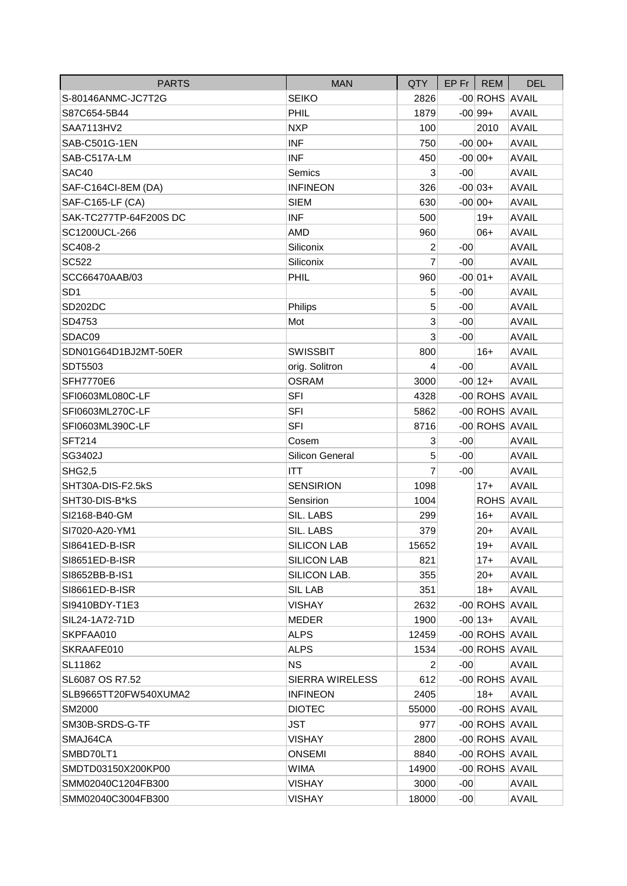| <b>PARTS</b>           | <b>MAN</b>             | <b>QTY</b>     |       | $EP$ Fr   REM  | <b>DEL</b>   |
|------------------------|------------------------|----------------|-------|----------------|--------------|
| S-80146ANMC-JC7T2G     | <b>SEIKO</b>           | 2826           |       | -00 ROHS AVAIL |              |
| S87C654-5B44           | PHIL                   | 1879           |       | $-00 99+$      | <b>AVAIL</b> |
| SAA7113HV2             | <b>NXP</b>             | 100            |       | 2010           | <b>AVAIL</b> |
| SAB-C501G-1EN          | <b>INF</b>             | 750            |       | $-00 00+$      | <b>AVAIL</b> |
| SAB-C517A-LM           | <b>INF</b>             | 450            |       | $-00 00+$      | <b>AVAIL</b> |
| SAC40                  | Semics                 | 3              | $-00$ |                | <b>AVAIL</b> |
| SAF-C164CI-8EM (DA)    | <b>INFINEON</b>        | 326            |       | $-00 03+$      | <b>AVAIL</b> |
| SAF-C165-LF (CA)       | <b>SIEM</b>            | 630            |       | $-00 00+$      | <b>AVAIL</b> |
| SAK-TC277TP-64F200S DC | <b>INF</b>             | 500            |       | $19+$          | <b>AVAIL</b> |
| SC1200UCL-266          | <b>AMD</b>             | 960            |       | $06+$          | <b>AVAIL</b> |
| SC408-2                | Siliconix              | $\overline{2}$ | $-00$ |                | <b>AVAIL</b> |
| <b>SC522</b>           | Siliconix              | $\overline{7}$ | $-00$ |                | <b>AVAIL</b> |
| SCC66470AAB/03         | PHIL                   | 960            |       | $-00 01+$      | <b>AVAIL</b> |
| SD <sub>1</sub>        |                        | 5              | $-00$ |                | <b>AVAIL</b> |
| SD202DC                | Philips                | 5              | $-00$ |                | <b>AVAIL</b> |
| SD4753                 | Mot                    | 3              | $-00$ |                | <b>AVAIL</b> |
| SDAC09                 |                        | 3              | $-00$ |                | <b>AVAIL</b> |
| SDN01G64D1BJ2MT-50ER   | <b>SWISSBIT</b>        | 800            |       | $16+$          | <b>AVAIL</b> |
| SDT5503                | orig. Solitron         | 4              | $-00$ |                | <b>AVAIL</b> |
| <b>SFH7770E6</b>       | <b>OSRAM</b>           | 3000           |       | $-00 12+$      | <b>AVAIL</b> |
| SFI0603ML080C-LF       | <b>SFI</b>             | 4328           |       | -00 ROHS AVAIL |              |
| SFI0603ML270C-LF       | <b>SFI</b>             | 5862           |       | -00 ROHS AVAIL |              |
| SFI0603ML390C-LF       | <b>SFI</b>             | 8716           |       | -00 ROHS AVAIL |              |
| <b>SFT214</b>          | Cosem                  | 3              | $-00$ |                | <b>AVAIL</b> |
| SG3402J                | Silicon General        | 5              | $-00$ |                | <b>AVAIL</b> |
| <b>SHG2,5</b>          | <b>ITT</b>             | 7              | $-00$ |                | <b>AVAIL</b> |
| SHT30A-DIS-F2.5kS      | <b>SENSIRION</b>       | 1098           |       | $17+$          | <b>AVAIL</b> |
| SHT30-DIS-B*kS         | Sensirion              | 1004           |       | ROHS AVAIL     |              |
| SI2168-B40-GM          | SIL. LABS              | 299            |       | $16+$          | <b>AVAIL</b> |
| SI7020-A20-YM1         | SIL. LABS              | 379            |       | $20+$          | <b>AVAIL</b> |
| SI8641ED-B-ISR         | <b>SILICON LAB</b>     | 15652          |       | $19+$          | <b>AVAIL</b> |
| SI8651ED-B-ISR         | <b>SILICON LAB</b>     | 821            |       | $17+$          | <b>AVAIL</b> |
| SI8652BB-B-IS1         | SILICON LAB.           | 355            |       | $20+$          | <b>AVAIL</b> |
| SI8661ED-B-ISR         | <b>SIL LAB</b>         | 351            |       | $18+$          | <b>AVAIL</b> |
| SI9410BDY-T1E3         | <b>VISHAY</b>          | 2632           |       | -00 ROHS AVAIL |              |
| SIL24-1A72-71D         | MEDER                  | 1900           |       | $-00 13+$      | <b>AVAIL</b> |
| SKPFAA010              | <b>ALPS</b>            | 12459          |       | -00 ROHS AVAIL |              |
| SKRAAFE010             | <b>ALPS</b>            | 1534           |       | -00 ROHS AVAIL |              |
| SL11862                | <b>NS</b>              | 2              | $-00$ |                | <b>AVAIL</b> |
| SL6087 OS R7.52        | <b>SIERRA WIRELESS</b> | 612            |       | -00 ROHS AVAIL |              |
| SLB9665TT20FW540XUMA2  | <b>INFINEON</b>        | 2405           |       | $18+$          | <b>AVAIL</b> |
| SM2000                 | <b>DIOTEC</b>          | 55000          |       | -00 ROHS AVAIL |              |
| SM30B-SRDS-G-TF        | <b>JST</b>             | 977            |       | -00 ROHS AVAIL |              |
| SMAJ64CA               | <b>VISHAY</b>          | 2800           |       | -00 ROHS AVAIL |              |
| SMBD70LT1              | ONSEMI                 | 8840           |       | -00 ROHS AVAIL |              |
| SMDTD03150X200KP00     | <b>WIMA</b>            | 14900          |       | -00 ROHS AVAIL |              |
| SMM02040C1204FB300     | <b>VISHAY</b>          | 3000           | $-00$ |                | <b>AVAIL</b> |
| SMM02040C3004FB300     | <b>VISHAY</b>          | 18000          | $-00$ |                | <b>AVAIL</b> |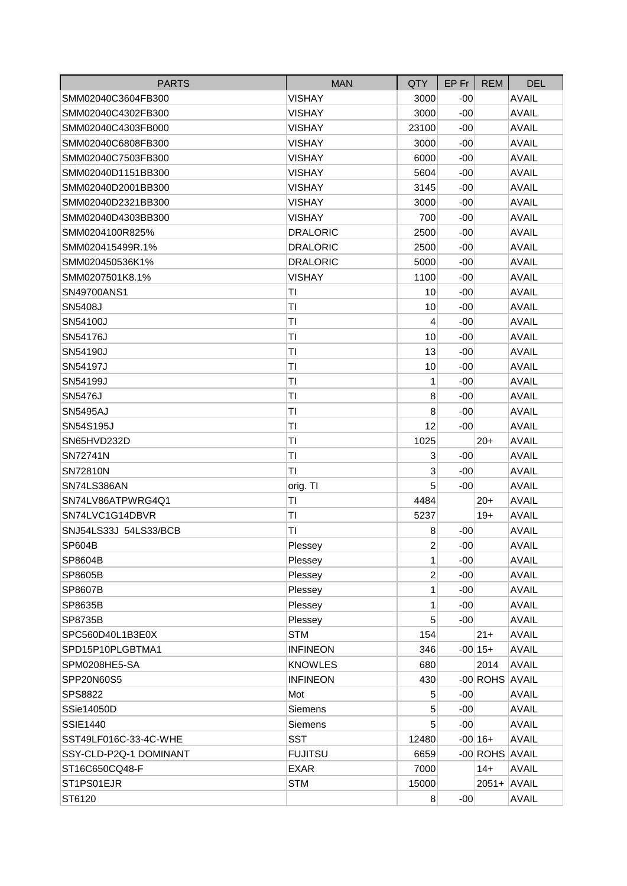| <b>PARTS</b>           | <b>MAN</b>      | QTY            | EP Fr I | <b>REM</b>     | <b>DEL</b>   |
|------------------------|-----------------|----------------|---------|----------------|--------------|
| SMM02040C3604FB300     | <b>VISHAY</b>   | 3000           | $-00$   |                | <b>AVAIL</b> |
| SMM02040C4302FB300     | <b>VISHAY</b>   | 3000           | $-00$   |                | <b>AVAIL</b> |
| SMM02040C4303FB000     | <b>VISHAY</b>   | 23100          | $-00$   |                | <b>AVAIL</b> |
| SMM02040C6808FB300     | <b>VISHAY</b>   | 3000           | $-00$   |                | <b>AVAIL</b> |
| SMM02040C7503FB300     | VISHAY          | 6000           | $-00$   |                | <b>AVAIL</b> |
| SMM02040D1151BB300     | <b>VISHAY</b>   | 5604           | $-00$   |                | <b>AVAIL</b> |
| SMM02040D2001BB300     | <b>VISHAY</b>   | 3145           | -00     |                | <b>AVAIL</b> |
| SMM02040D2321BB300     | <b>VISHAY</b>   | 3000           | $-00$   |                | <b>AVAIL</b> |
| SMM02040D4303BB300     | <b>VISHAY</b>   | 700            | $-00$   |                | <b>AVAIL</b> |
| SMM0204100R825%        | <b>DRALORIC</b> | 2500           | $-00$   |                | <b>AVAIL</b> |
| SMM020415499R.1%       | <b>DRALORIC</b> | 2500           | $-00$   |                | <b>AVAIL</b> |
| SMM020450536K1%        | <b>DRALORIC</b> | 5000           | $-00$   |                | <b>AVAIL</b> |
| SMM0207501K8.1%        | <b>VISHAY</b>   | 1100           | $-00$   |                | <b>AVAIL</b> |
| SN49700ANS1            | ΤI              | 10             | $-00$   |                | <b>AVAIL</b> |
| SN5408J                | ΤI              | 10             | $-00$   |                | <b>AVAIL</b> |
| SN54100J               | ΤI              | 4              | $-00$   |                | <b>AVAIL</b> |
| SN54176J               | ΤI              | 10             | $-00$   |                | <b>AVAIL</b> |
| SN54190J               | ΤI              | 13             | $-00$   |                | <b>AVAIL</b> |
| SN54197J               | ΤI              | 10             | $-00$   |                | <b>AVAIL</b> |
| SN54199J               | ΤI              | 1              | $-00$   |                | <b>AVAIL</b> |
| <b>SN5476J</b>         | ΤI              | 8              | $-00$   |                | <b>AVAIL</b> |
| <b>SN5495AJ</b>        | ΤI              | 8              | $-00$   |                | <b>AVAIL</b> |
| SN54S195J              | ΤI              | 12             | $-00$   |                | <b>AVAIL</b> |
| SN65HVD232D            | ΤI              | 1025           |         | $20+$          | <b>AVAIL</b> |
| SN72741N               | ΤI              | 3              | $-00$   |                | <b>AVAIL</b> |
| SN72810N               | ΤI              | 3              | $-00$   |                | <b>AVAIL</b> |
| SN74LS386AN            | orig. TI        | 5              | $-00$   |                | <b>AVAIL</b> |
| SN74LV86ATPWRG4Q1      | ΤI              | 4484           |         | $20+$          | <b>AVAIL</b> |
| SN74LVC1G14DBVR        | ΤI              | 5237           |         | $19+$          | <b>AVAIL</b> |
| SNJ54LS33J 54LS33/BCB  | ΤI              | 8              | $-00$   |                | <b>AVAIL</b> |
| <b>SP604B</b>          | Plessey         | $\overline{2}$ | $-00$   |                | <b>AVAIL</b> |
| SP8604B                | Plessey         | 1              | $-00$   |                | <b>AVAIL</b> |
| SP8605B                | Plessey         | $\overline{c}$ | $-00$   |                | <b>AVAIL</b> |
| SP8607B                | Plessey         | 1              | $-00$   |                | <b>AVAIL</b> |
| SP8635B                | Plessey         | 1              | $-00$   |                | <b>AVAIL</b> |
| SP8735B                | Plessey         | 5              | $-00$   |                | <b>AVAIL</b> |
| SPC560D40L1B3E0X       | <b>STM</b>      | 154            |         | $21 +$         | <b>AVAIL</b> |
| SPD15P10PLGBTMA1       | <b>INFINEON</b> | 346            |         | $-00 15+$      | <b>AVAIL</b> |
| SPM0208HE5-SA          | <b>KNOWLES</b>  | 680            |         | 2014           | <b>AVAIL</b> |
| SPP20N60S5             | <b>INFINEON</b> | 430            |         | -00 ROHS AVAIL |              |
| SPS8822                | Mot             | 5              | $-00$   |                | <b>AVAIL</b> |
| SSie14050D             | Siemens         | 5              | $-00$   |                | <b>AVAIL</b> |
| <b>SSIE1440</b>        | Siemens         | 5              | $-00$   |                | <b>AVAIL</b> |
| SST49LF016C-33-4C-WHE  | <b>SST</b>      | 12480          |         | $-00 16+$      | <b>AVAIL</b> |
| SSY-CLD-P2Q-1 DOMINANT | <b>FUJITSU</b>  | 6659           |         | -00 ROHS AVAIL |              |
| ST16C650CQ48-F         | <b>EXAR</b>     | 7000           |         | $14+$          | <b>AVAIL</b> |
| ST1PS01EJR             | <b>STM</b>      | 15000          |         | 2051+ AVAIL    |              |
| ST6120                 |                 | 8 <sup>1</sup> | $-00$   |                | <b>AVAIL</b> |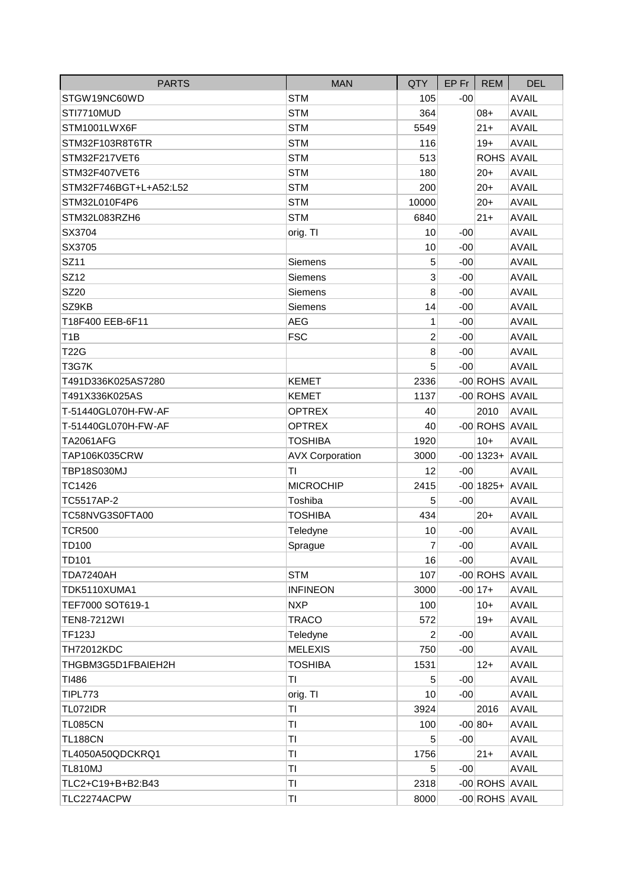| <b>PARTS</b>           | <b>MAN</b>             | QTY             | $EP$ Fr $ $ | <b>REM</b>        | <b>DEL</b>   |
|------------------------|------------------------|-----------------|-------------|-------------------|--------------|
| STGW19NC60WD           | <b>STM</b>             | 105             | $-00$       |                   | <b>AVAIL</b> |
| STI7710MUD             | <b>STM</b>             | 364             |             | $08+$             | <b>AVAIL</b> |
| STM1001LWX6F           | <b>STM</b>             | 5549            |             | $21 +$            | <b>AVAIL</b> |
| STM32F103R8T6TR        | <b>STM</b>             | 116             |             | $19+$             | <b>AVAIL</b> |
| STM32F217VET6          | <b>STM</b>             | 513             |             | ROHS AVAIL        |              |
| STM32F407VET6          | <b>STM</b>             | 180             |             | $20+$             | <b>AVAIL</b> |
| STM32F746BGT+L+A52:L52 | <b>STM</b>             | 200             |             | $20 +$            | <b>AVAIL</b> |
| STM32L010F4P6          | <b>STM</b>             | 10000           |             | $20+$             | <b>AVAIL</b> |
| STM32L083RZH6          | <b>STM</b>             | 6840            |             | $21 +$            | <b>AVAIL</b> |
| SX3704                 | orig. TI               | 10              | $-00$       |                   | <b>AVAIL</b> |
| SX3705                 |                        | 10              | $-00$       |                   | <b>AVAIL</b> |
| SZ11                   | Siemens                | 5               | $-00$       |                   | <b>AVAIL</b> |
| SZ12                   | Siemens                | 3               | $-00$       |                   | <b>AVAIL</b> |
| <b>SZ20</b>            | Siemens                | 8               | $-00$       |                   | <b>AVAIL</b> |
| SZ9KB                  | Siemens                | 14              | $-00$       |                   | <b>AVAIL</b> |
| T18F400 EEB-6F11       | <b>AEG</b>             | $\mathbf{1}$    | $-00$       |                   | <b>AVAIL</b> |
| T <sub>1</sub> B       | <b>FSC</b>             | $\overline{c}$  | $-00$       |                   | <b>AVAIL</b> |
| <b>T22G</b>            |                        | 8               | $-00$       |                   | <b>AVAIL</b> |
| T3G7K                  |                        | 5               | $-00$       |                   | <b>AVAIL</b> |
| T491D336K025AS7280     | <b>KEMET</b>           | 2336            |             | -00 ROHS AVAIL    |              |
| T491X336K025AS         | <b>KEMET</b>           | 1137            |             | -00 ROHS AVAIL    |              |
| T-51440GL070H-FW-AF    | <b>OPTREX</b>          | 40              |             | 2010              | <b>AVAIL</b> |
| T-51440GL070H-FW-AF    | <b>OPTREX</b>          | 40              |             | -00 ROHS AVAIL    |              |
| <b>TA2061AFG</b>       | <b>TOSHIBA</b>         | 1920            |             | $10+$             | <b>AVAIL</b> |
| TAP106K035CRW          | <b>AVX Corporation</b> | 3000            |             | $-00$ 1323+ AVAIL |              |
| TBP18S030MJ            | ΤI                     | 12              | $-00$       |                   | <b>AVAIL</b> |
| TC1426                 | <b>MICROCHIP</b>       | 2415            |             | $-00$ 1825+ AVAIL |              |
| TC5517AP-2             | Toshiba                | 5               | $-00$       |                   | <b>AVAIL</b> |
| TC58NVG3S0FTA00        | <b>TOSHIBA</b>         | 434             |             | $20+$             | <b>AVAIL</b> |
| <b>TCR500</b>          | Teledyne               | 10              | $-00$       |                   | <b>AVAIL</b> |
| <b>TD100</b>           | Sprague                | $\overline{7}$  | $-00$       |                   | <b>AVAIL</b> |
| TD101                  |                        | 16              | $-00$       |                   | <b>AVAIL</b> |
| <b>TDA7240AH</b>       | <b>STM</b>             | 107             |             | -00 ROHS AVAIL    |              |
| TDK5110XUMA1           | <b>INFINEON</b>        | 3000            |             | $-00 17+$         | <b>AVAIL</b> |
| TEF7000 SOT619-1       | <b>NXP</b>             | 100             |             | $10+$             | <b>AVAIL</b> |
| <b>TEN8-7212WI</b>     | <b>TRACO</b>           | 572             |             | $19+$             | <b>AVAIL</b> |
| <b>TF123J</b>          | Teledyne               | 2               | $-00$       |                   | <b>AVAIL</b> |
| <b>TH72012KDC</b>      | <b>MELEXIS</b>         | 750             | $-00$       |                   | <b>AVAIL</b> |
| THGBM3G5D1FBAIEH2H     | <b>TOSHIBA</b>         | 1531            |             | $12+$             | <b>AVAIL</b> |
| TI486                  | ΤI                     | 5               | $-00$       |                   | <b>AVAIL</b> |
| <b>TIPL773</b>         | orig. TI               | 10              | $-00$       |                   | <b>AVAIL</b> |
| TL072IDR               | TI                     | 3924            |             | 2016              | <b>AVAIL</b> |
| <b>TL085CN</b>         | TI                     | 100             |             | $-00 80+$         | <b>AVAIL</b> |
| <b>TL188CN</b>         | TI                     | 5               | $-00$       |                   | <b>AVAIL</b> |
| TL4050A50QDCKRQ1       | TI                     | 1756            |             | $21+$             | <b>AVAIL</b> |
| <b>TL810MJ</b>         | ΤI                     | $5\overline{)}$ | $-00$       |                   | <b>AVAIL</b> |
| TLC2+C19+B+B2:B43      | TI                     | 2318            |             | -00 ROHS AVAIL    |              |
| TLC2274ACPW            | ΤI                     | 8000            |             | -00 ROHS AVAIL    |              |